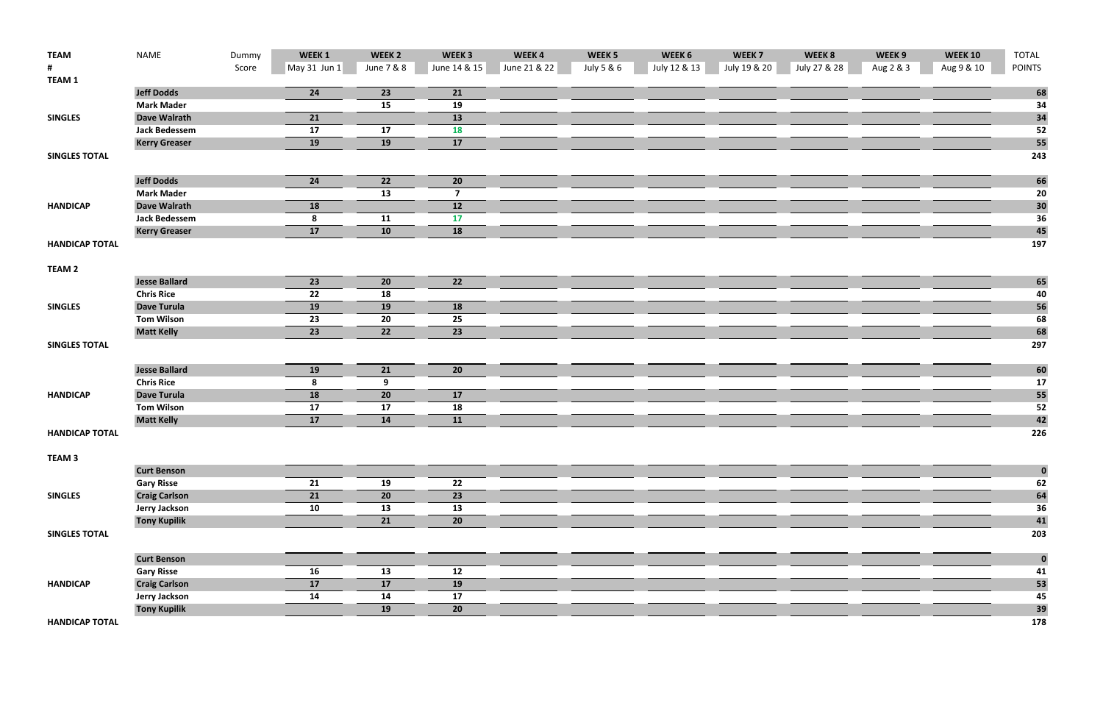| <b>TEAM</b>           | <b>NAME</b>          | Dummy | WEEK 1          | WEEK <sub>2</sub> | WEEK <sub>3</sub> | WEEK4        | WEEK <sub>5</sub> | WEEK 6       | WEEK <sub>7</sub> | WEEK 8       | WEEK 9    | <b>WEEK 10</b> | <b>TOTAL</b>  |
|-----------------------|----------------------|-------|-----------------|-------------------|-------------------|--------------|-------------------|--------------|-------------------|--------------|-----------|----------------|---------------|
|                       |                      | Score | May 31 Jun 1    | June 7 & 8        | June 14 & 15      | June 21 & 22 | July 5 & 6        | July 12 & 13 | July 19 & 20      | July 27 & 28 | Aug 2 & 3 | Aug 9 & 10     | <b>POINTS</b> |
| <b>TEAM 1</b>         |                      |       |                 |                   |                   |              |                   |              |                   |              |           |                |               |
|                       | <b>Jeff Dodds</b>    |       | 24              | 23                | 21                |              |                   |              |                   |              |           |                | 68            |
|                       | <b>Mark Mader</b>    |       |                 | 15                | 19                |              |                   |              |                   |              |           |                | 34            |
| <b>SINGLES</b>        | <b>Dave Walrath</b>  |       | 21              |                   | 13                |              |                   |              |                   |              |           |                | 34            |
|                       | <b>Jack Bedessem</b> |       | 17              | 17                | <b>18</b>         |              |                   |              |                   |              |           |                | 52            |
|                       | <b>Kerry Greaser</b> |       | 19              | <b>19</b>         | 17                |              |                   |              |                   |              |           |                | 55            |
| <b>SINGLES TOTAL</b>  |                      |       |                 |                   |                   |              |                   |              |                   |              |           |                | 243           |
|                       | <b>Jeff Dodds</b>    |       | 24              | 22                | 20                |              |                   |              |                   |              |           |                | 66            |
|                       | <b>Mark Mader</b>    |       |                 | 13                | -7                |              |                   |              |                   |              |           |                | 20            |
| <b>HANDICAP</b>       | <b>Dave Walrath</b>  |       | <b>18</b>       |                   | 12                |              |                   |              |                   |              |           |                |               |
|                       | <b>Jack Bedessem</b> |       | 8               | 11                | 17                |              |                   |              |                   |              |           |                | 30<br>36      |
|                       | <b>Kerry Greaser</b> |       | 17              | 10                | 18                |              |                   |              |                   |              |           |                | 45            |
| <b>HANDICAP TOTAL</b> |                      |       |                 |                   |                   |              |                   |              |                   |              |           |                | 197           |
|                       |                      |       |                 |                   |                   |              |                   |              |                   |              |           |                |               |
| TEAM <sub>2</sub>     |                      |       |                 |                   |                   |              |                   |              |                   |              |           |                |               |
|                       | <b>Jesse Ballard</b> |       | 23              | 20                | 22                |              |                   |              |                   |              |           |                | 65            |
|                       | <b>Chris Rice</b>    |       | 22              | 18                |                   |              |                   |              |                   |              |           |                | 40            |
| <b>SINGLES</b>        | <b>Dave Turula</b>   |       | 19              | <b>19</b>         | <b>18</b>         |              |                   |              |                   |              |           |                | 56            |
|                       | <b>Tom Wilson</b>    |       | 23              | 20                | 25                |              |                   |              |                   |              |           |                | 68            |
|                       | <b>Matt Kelly</b>    |       | $\overline{23}$ | 22                | 23                |              |                   |              |                   |              |           |                | 68            |
| <b>SINGLES TOTAL</b>  |                      |       |                 |                   |                   |              |                   |              |                   |              |           |                | 297           |
|                       | <b>Jesse Ballard</b> |       | 19              | 21                | 20                |              |                   |              |                   |              |           |                | 60            |
|                       | <b>Chris Rice</b>    |       | 8               | 9                 |                   |              |                   |              |                   |              |           |                | 17            |
| <b>HANDICAP</b>       | <b>Dave Turula</b>   |       | 18              | 20                | 17                |              |                   |              |                   |              |           |                | 55            |
|                       | <b>Tom Wilson</b>    |       | 17              | 17                | 18                |              |                   |              |                   |              |           |                | 52            |
|                       | <b>Matt Kelly</b>    |       | 17              | 14                | 11                |              |                   |              |                   |              |           |                | 42            |
| <b>HANDICAP TOTAL</b> |                      |       |                 |                   |                   |              |                   |              |                   |              |           |                | 226           |
| TEAM <sub>3</sub>     |                      |       |                 |                   |                   |              |                   |              |                   |              |           |                |               |
|                       | <b>Curt Benson</b>   |       |                 |                   |                   |              |                   |              |                   |              |           |                | $\bf{0}$      |
|                       | <b>Gary Risse</b>    |       | 21              | 19                | 22                |              |                   |              |                   |              |           |                | 62            |
| <b>SINGLES</b>        | <b>Craig Carlson</b> |       | 21              | 20                | 23                |              |                   |              |                   |              |           |                | 64            |
|                       | <b>Jerry Jackson</b> |       | 10              | 13                | 13                |              |                   |              |                   |              |           |                | 36            |
|                       | <b>Tony Kupilik</b>  |       |                 | 21                | 20                |              |                   |              |                   |              |           |                | 41            |
| <b>SINGLES TOTAL</b>  |                      |       |                 |                   |                   |              |                   |              |                   |              |           |                | 203           |
|                       | <b>Curt Benson</b>   |       |                 |                   |                   |              |                   |              |                   |              |           |                |               |
|                       |                      |       | 16              | 13                | 12                |              |                   |              |                   |              |           |                | $\bf{0}$      |
|                       | <b>Gary Risse</b>    |       |                 |                   |                   |              |                   |              |                   |              |           |                | 41            |
| <b>HANDICAP</b>       | <b>Craig Carlson</b> |       | 17              | 17                | 19                |              |                   |              |                   |              |           |                | 53            |
|                       | <b>Jerry Jackson</b> |       | 14              | 14                | 17                |              |                   |              |                   |              |           |                | 45<br>39      |
| <b>HANDICAP TOTAL</b> | <b>Tony Kupilik</b>  |       |                 | <b>19</b>         | 20                |              |                   |              |                   |              |           |                | 178           |
|                       |                      |       |                 |                   |                   |              |                   |              |                   |              |           |                |               |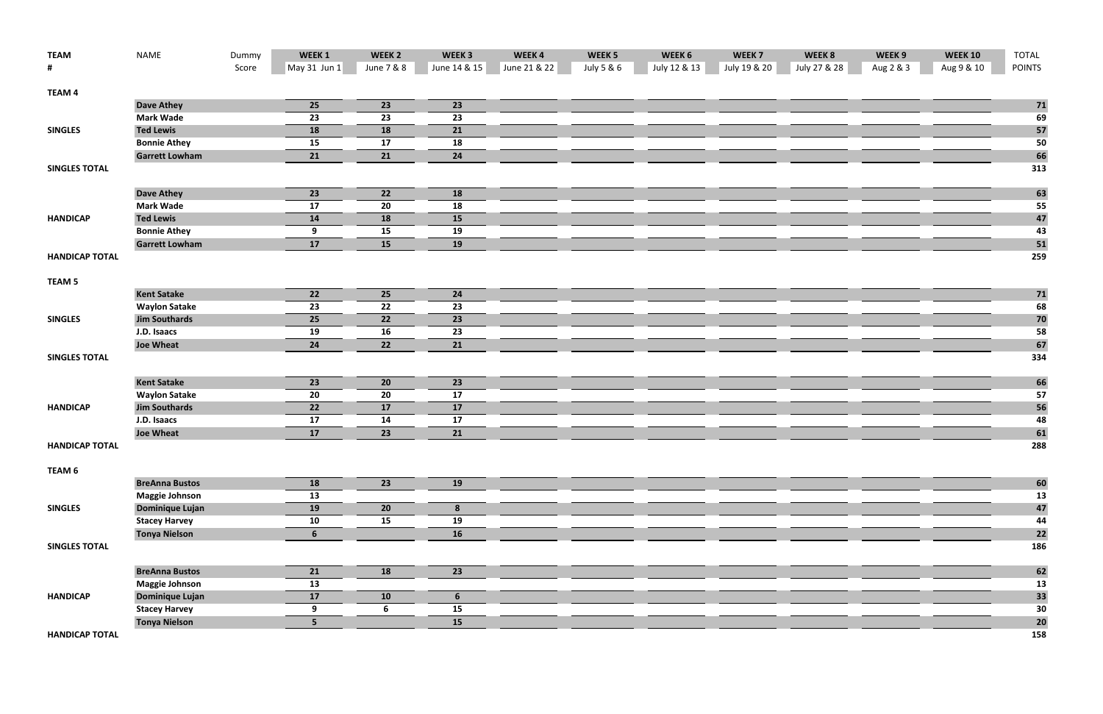| <b>TEAM</b>           | NAME                                         | Dummy | WEEK 1         | WEEK <sub>2</sub> | WEEK <sub>3</sub> | WEEK4        | WEEK <sub>5</sub> | WEEK 6       | WEEK <sub>7</sub> | WEEK 8       | WEEK 9    | <b>WEEK 10</b> | <b>TOTAL</b>  |
|-----------------------|----------------------------------------------|-------|----------------|-------------------|-------------------|--------------|-------------------|--------------|-------------------|--------------|-----------|----------------|---------------|
| #                     |                                              | Score | $May 31$ Jun 1 | June 7 & 8        | June 14 & 15      | June 21 & 22 | July 5 & 6        | July 12 & 13 | July 19 & 20      | July 27 & 28 | Aug 2 & 3 | Aug 9 & 10     | <b>POINTS</b> |
|                       |                                              |       |                |                   |                   |              |                   |              |                   |              |           |                |               |
| <b>TEAM 4</b>         | <b>Dave Athey</b>                            |       | 25             | 23                | 23                |              |                   |              |                   |              |           |                |               |
|                       | <b>Mark Wade</b>                             |       |                | 23                |                   |              |                   |              |                   |              |           |                | 71            |
|                       | <b>Ted Lewis</b>                             |       | 23<br>18       | 18                | 23                |              |                   |              |                   |              |           |                | 69            |
| <b>SINGLES</b>        |                                              |       |                | 17                | 21                |              |                   |              |                   |              |           |                | 57            |
|                       | <b>Bonnie Athey</b><br><b>Garrett Lowham</b> |       | 15<br>21       | 21                | 18                |              |                   |              |                   |              |           |                | 50            |
| <b>SINGLES TOTAL</b>  |                                              |       |                |                   | 24                |              |                   |              |                   |              |           |                | 66<br>313     |
|                       |                                              |       |                |                   |                   |              |                   |              |                   |              |           |                |               |
|                       | <b>Dave Athey</b>                            |       | 23             | 22                | 18                |              |                   |              |                   |              |           |                | 63            |
|                       | <b>Mark Wade</b>                             |       | 17             | 20                | 18                |              |                   |              |                   |              |           |                | 55            |
| <b>HANDICAP</b>       | <b>Ted Lewis</b>                             |       | 14             | <b>18</b>         | 15                |              |                   |              |                   |              |           |                | 47            |
|                       | <b>Bonnie Athey</b>                          |       | 9              | 15                | 19                |              |                   |              |                   |              |           |                | 43            |
|                       | <b>Garrett Lowham</b>                        |       | 17             | 15                | 19                |              |                   |              |                   |              |           |                | 51            |
| <b>HANDICAP TOTAL</b> |                                              |       |                |                   |                   |              |                   |              |                   |              |           |                | 259           |
|                       |                                              |       |                |                   |                   |              |                   |              |                   |              |           |                |               |
| TEAM <sub>5</sub>     |                                              |       |                |                   |                   |              |                   |              |                   |              |           |                |               |
|                       | <b>Kent Satake</b>                           |       | 22             | 25                | 24                |              |                   |              |                   |              |           |                | 71            |
|                       | <b>Waylon Satake</b>                         |       | 23             | 22                | 23                |              |                   |              |                   |              |           |                | 68            |
| <b>SINGLES</b>        | <b>Jim Southards</b>                         |       | 25             | 22                | 23                |              |                   |              |                   |              |           |                | 70            |
|                       | J.D. Isaacs                                  |       | 19             | 16                | 23                |              |                   |              |                   |              |           |                | 58            |
|                       | <b>Joe Wheat</b>                             |       | 24             | 22                | 21                |              |                   |              |                   |              |           |                | 67            |
| <b>SINGLES TOTAL</b>  |                                              |       |                |                   |                   |              |                   |              |                   |              |           |                | 334           |
|                       | <b>Kent Satake</b>                           |       | 23             | 20                | 23                |              |                   |              |                   |              |           |                | 66            |
|                       | <b>Waylon Satake</b>                         |       | 20             | 20                | 17                |              |                   |              |                   |              |           |                | 57            |
| <b>HANDICAP</b>       | <b>Jim Southards</b>                         |       | 22             | 17                | $17$              |              |                   |              |                   |              |           |                | 56            |
|                       | J.D. Isaacs                                  |       | 17             | 14                | 17                |              |                   |              |                   |              |           |                | 48            |
|                       | <b>Joe Wheat</b>                             |       | 17             | 23                | 21                |              |                   |              |                   |              |           |                | 61            |
| <b>HANDICAP TOTAL</b> |                                              |       |                |                   |                   |              |                   |              |                   |              |           |                | 288           |
|                       |                                              |       |                |                   |                   |              |                   |              |                   |              |           |                |               |
| TEAM 6                |                                              |       |                |                   |                   |              |                   |              |                   |              |           |                |               |
|                       | <b>BreAnna Bustos</b>                        |       | 18             | 23                | 19                |              |                   |              |                   |              |           |                | 60            |
|                       | <b>Maggie Johnson</b>                        |       | 13             |                   |                   |              |                   |              |                   |              |           |                | 13            |
| <b>SINGLES</b>        | <b>Dominique Lujan</b>                       |       | 19             | 20                | 8                 |              |                   |              |                   |              |           |                | 47            |
|                       | <b>Stacey Harvey</b>                         |       | 10             | 15                | 19                |              |                   |              |                   |              |           |                | 44            |
|                       | <b>Tonya Nielson</b>                         |       | 6              |                   | 16                |              |                   |              |                   |              |           |                | 22            |
| <b>SINGLES TOTAL</b>  |                                              |       |                |                   |                   |              |                   |              |                   |              |           |                | 186           |
|                       |                                              |       |                |                   |                   |              |                   |              |                   |              |           |                |               |
|                       | <b>BreAnna Bustos</b>                        |       | 21             | <b>18</b>         | 23                |              |                   |              |                   |              |           |                | 62            |
|                       | <b>Maggie Johnson</b>                        |       | 13             |                   |                   |              |                   |              |                   |              |           |                | 13            |
| <b>HANDICAP</b>       | <b>Dominique Lujan</b>                       |       | 17             | 10                | 6                 |              |                   |              |                   |              |           |                | 33            |
|                       | <b>Stacey Harvey</b>                         |       | 9              | 6                 | 15                |              |                   |              |                   |              |           |                | 30            |
| <b>HANDICAP TOTAL</b> | <b>Tonya Nielson</b>                         |       | 5 <sub>1</sub> |                   | 15                |              |                   |              |                   |              |           |                | 20<br>158     |
|                       |                                              |       |                |                   |                   |              |                   |              |                   |              |           |                |               |

**HANDICAP**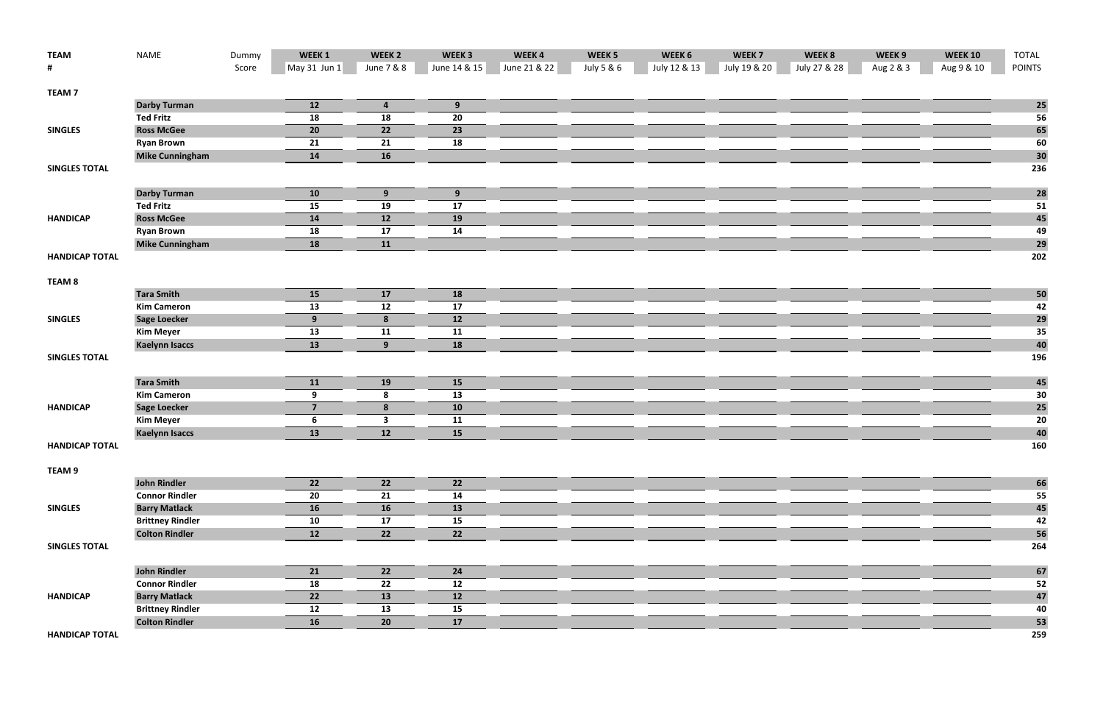| <b>TEAM</b>           | <b>NAME</b>                             | Dummy | WEEK 1              | WEEK <sub>2</sub>             | WEEK <sub>3</sub> | WEEK4        | WEEK <sub>5</sub> | WEEK 6       | WEEK <sub>7</sub> | WEEK 8       | WEEK 9    | <b>WEEK 10</b> | <b>TOTAL</b>  |
|-----------------------|-----------------------------------------|-------|---------------------|-------------------------------|-------------------|--------------|-------------------|--------------|-------------------|--------------|-----------|----------------|---------------|
| #                     |                                         | Score | May 31 Jun 1        | June 7 & 8                    | June 14 & 15      | June 21 & 22 | July 5 & 6        | July 12 & 13 | July 19 & 20      | July 27 & 28 | Aug 2 & 3 | Aug 9 & 10     | <b>POINTS</b> |
| <b>TEAM7</b>          |                                         |       |                     |                               |                   |              |                   |              |                   |              |           |                |               |
|                       | <b>Darby Turman</b>                     |       | 12                  | $\overline{\mathbf{4}}$       | 9                 |              |                   |              |                   |              |           |                | <b>25</b>     |
|                       | <b>Ted Fritz</b>                        |       | 18                  | 18                            | 20                |              |                   |              |                   |              |           |                | 56            |
| <b>SINGLES</b>        | <b>Ross McGee</b>                       |       | 20                  | 22                            | 23                |              |                   |              |                   |              |           |                | 65            |
|                       | <b>Ryan Brown</b>                       |       | 21                  | 21                            | 18                |              |                   |              |                   |              |           |                | 60            |
|                       | <b>Mike Cunningham</b>                  |       | 14                  | <b>16</b>                     |                   |              |                   |              |                   |              |           |                | 30            |
| <b>SINGLES TOTAL</b>  |                                         |       |                     |                               |                   |              |                   |              |                   |              |           |                | 236           |
|                       | <b>Darby Turman</b>                     |       | 10                  | 9                             | 9                 |              |                   |              |                   |              |           |                | <b>28</b>     |
|                       | <b>Ted Fritz</b>                        |       | 15                  | 19                            | ${\bf 17}$        |              |                   |              |                   |              |           |                | 51            |
| <b>HANDICAP</b>       | <b>Ross McGee</b>                       |       | 14                  | 12                            | 19                |              |                   |              |                   |              |           |                | 45            |
|                       | <b>Ryan Brown</b>                       |       | 18                  | 17                            | 14                |              |                   |              |                   |              |           |                | 49            |
|                       | <b>Mike Cunningham</b>                  |       | 18                  | 11                            |                   |              |                   |              |                   |              |           |                | 29            |
| <b>HANDICAP TOTAL</b> |                                         |       |                     |                               |                   |              |                   |              |                   |              |           |                | 202           |
|                       |                                         |       |                     |                               |                   |              |                   |              |                   |              |           |                |               |
| TEAM <sub>8</sub>     |                                         |       |                     |                               |                   |              |                   |              |                   |              |           |                |               |
|                       | <b>Tara Smith</b>                       |       | 15                  | 17                            | 18                |              |                   |              |                   |              |           |                | 50            |
|                       | <b>Kim Cameron</b>                      |       | 13                  | 12                            | 17                |              |                   |              |                   |              |           |                | 42            |
| <b>SINGLES</b>        | <b>Sage Loecker</b>                     |       | 9 <sub>o</sub>      | 8                             | 12                |              |                   |              |                   |              |           |                | 29            |
|                       | <b>Kim Meyer</b>                        |       | 13                  | 11                            | 11                |              |                   |              |                   |              |           |                | 35            |
|                       | <b>Kaelynn Isaccs</b>                   |       | 13                  | 9                             | 18                |              |                   |              |                   |              |           |                | 40            |
| <b>SINGLES TOTAL</b>  |                                         |       |                     |                               |                   |              |                   |              |                   |              |           |                | 196           |
|                       |                                         |       |                     |                               |                   |              |                   |              |                   |              |           |                |               |
|                       | <b>Tara Smith</b>                       |       | 11                  | <b>19</b>                     | 15                |              |                   |              |                   |              |           |                | 45            |
|                       | <b>Kim Cameron</b>                      |       | 9<br>$\overline{7}$ | 8                             | 13                |              |                   |              |                   |              |           |                | 30            |
| <b>HANDICAP</b>       | <b>Sage Loecker</b><br><b>Kim Meyer</b> |       |                     | 8                             | 10                |              |                   |              |                   |              |           |                | 25<br>20      |
|                       | <b>Kaelynn Isaccs</b>                   |       | 6<br>$\boxed{13}$   | $\overline{\mathbf{3}}$<br>12 | 11<br>15          |              |                   |              |                   |              |           |                | 40            |
| <b>HANDICAP TOTAL</b> |                                         |       |                     |                               |                   |              |                   |              |                   |              |           |                | 160           |
|                       |                                         |       |                     |                               |                   |              |                   |              |                   |              |           |                |               |
| TEAM 9                |                                         |       |                     |                               |                   |              |                   |              |                   |              |           |                |               |
|                       | <b>John Rindler</b>                     |       | 22                  | 22                            | 22                |              |                   |              |                   |              |           |                | 66            |
|                       | <b>Connor Rindler</b>                   |       | 20                  | 21                            | 14                |              |                   |              |                   |              |           |                | 55            |
| <b>SINGLES</b>        | <b>Barry Matlack</b>                    |       | 16                  | 16                            | 13                |              |                   |              |                   |              |           |                | 45            |
|                       | <b>Brittney Rindler</b>                 |       | 10                  | 17                            | 15                |              |                   |              |                   |              |           |                | 42            |
|                       | <b>Colton Rindler</b>                   |       | 12                  | 22                            | 22                |              |                   |              |                   |              |           |                | 56            |
| <b>SINGLES TOTAL</b>  |                                         |       |                     |                               |                   |              |                   |              |                   |              |           |                | 264           |
|                       | <b>John Rindler</b>                     |       | 21                  | 22                            | 24                |              |                   |              |                   |              |           |                | 67            |
|                       | <b>Connor Rindler</b>                   |       | 18                  | 22                            | 12                |              |                   |              |                   |              |           |                | 52            |
| <b>HANDICAP</b>       | <b>Barry Matlack</b>                    |       | 22                  | 13                            | 12                |              |                   |              |                   |              |           |                | 47            |
|                       | <b>Brittney Rindler</b>                 |       | 12                  | 13                            | 15                |              |                   |              |                   |              |           |                | 40            |
|                       | <b>Colton Rindler</b>                   |       | 16                  | 20                            | 17                |              |                   |              |                   |              |           |                | 53            |

**HANDICAPTOTAL 259**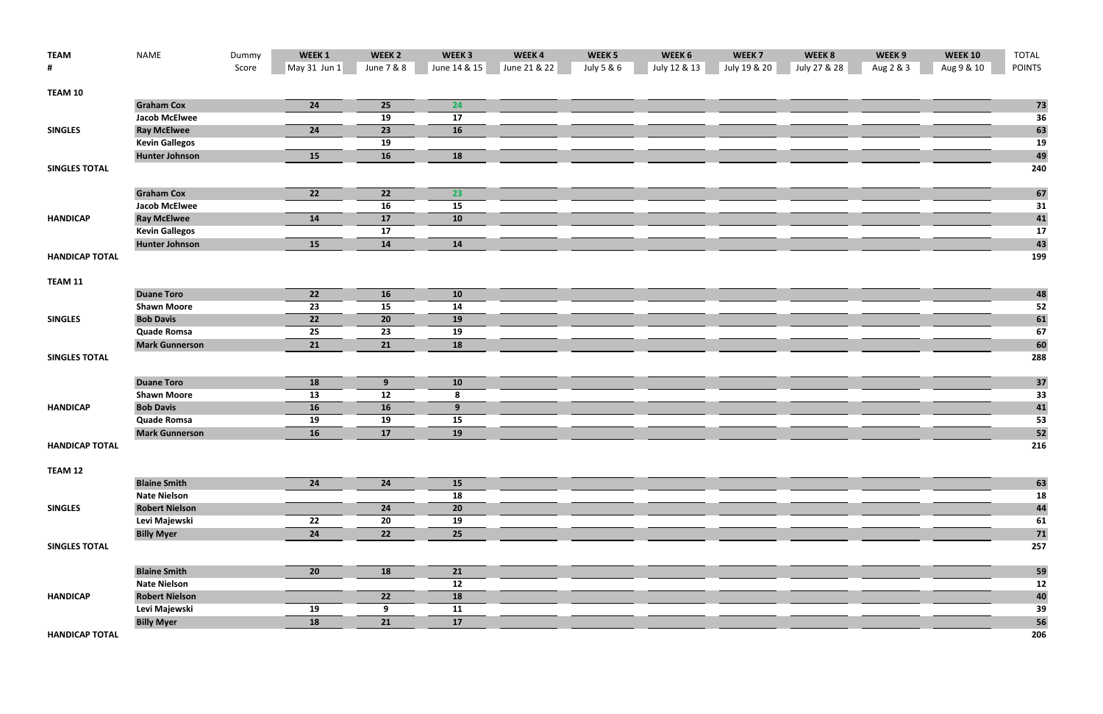| <b>TEAM</b>           | <b>NAME</b>           | Dummy | WEEK 1          | WEEK <sub>2</sub> | WEEK <sub>3</sub> | WEEK4        | WEEK <sub>5</sub> | WEEK 6       | WEEK <sub>7</sub> | WEEK 8       | WEEK 9    | <b>WEEK 10</b> | <b>TOTAL</b>  |
|-----------------------|-----------------------|-------|-----------------|-------------------|-------------------|--------------|-------------------|--------------|-------------------|--------------|-----------|----------------|---------------|
| #                     |                       | Score | May 31 Jun 1    | June 7 & 8        | June 14 & 15      | June 21 & 22 | July 5 & 6        | July 12 & 13 | July 19 & 20      | July 27 & 28 | Aug 2 & 3 | Aug 9 & 10     | <b>POINTS</b> |
| TEAM 10               |                       |       |                 |                   |                   |              |                   |              |                   |              |           |                |               |
|                       | <b>Graham Cox</b>     |       | 24              | 25                | 24                |              |                   |              |                   |              |           |                | 73            |
|                       | <b>Jacob McElwee</b>  |       |                 | 19                | 17                |              |                   |              |                   |              |           |                | 36            |
| <b>SINGLES</b>        | <b>Ray McElwee</b>    |       | 24              | 23                | 16                |              |                   |              |                   |              |           |                | 63            |
|                       | <b>Kevin Gallegos</b> |       |                 | 19                |                   |              |                   |              |                   |              |           |                | 19            |
|                       | <b>Hunter Johnson</b> |       | 15              | <b>16</b>         | 18                |              |                   |              |                   |              |           |                | 49            |
| <b>SINGLES TOTAL</b>  |                       |       |                 |                   |                   |              |                   |              |                   |              |           |                | 240           |
|                       | <b>Graham Cox</b>     |       | 22              | 22                | 23                |              |                   |              |                   |              |           |                | 67            |
|                       | <b>Jacob McElwee</b>  |       |                 | 16                | 15                |              |                   |              |                   |              |           |                | 31            |
| <b>HANDICAP</b>       | <b>Ray McElwee</b>    |       | 14              | 17                | 10                |              |                   |              |                   |              |           |                | 41            |
|                       | <b>Kevin Gallegos</b> |       |                 | 17                |                   |              |                   |              |                   |              |           |                | 17            |
|                       | <b>Hunter Johnson</b> |       | 15              | 14                | 14                |              |                   |              |                   |              |           |                | 43            |
| <b>HANDICAP TOTAL</b> |                       |       |                 |                   |                   |              |                   |              |                   |              |           |                | 199           |
| TEAM 11               |                       |       |                 |                   |                   |              |                   |              |                   |              |           |                |               |
|                       | <b>Duane Toro</b>     |       | 22              | <b>16</b>         | 10                |              |                   |              |                   |              |           |                | 48            |
|                       | <b>Shawn Moore</b>    |       | 23              | 15                | 14                |              |                   |              |                   |              |           |                | 52            |
| <b>SINGLES</b>        | <b>Bob Davis</b>      |       | $\overline{22}$ | 20                | 19                |              |                   |              |                   |              |           |                | 61            |
|                       | <b>Quade Romsa</b>    |       | 25              | 23                | 19                |              |                   |              |                   |              |           |                | 67            |
|                       | <b>Mark Gunnerson</b> |       | 21              | 21                | 18                |              |                   |              |                   |              |           |                | 60            |
| <b>SINGLES TOTAL</b>  |                       |       |                 |                   |                   |              |                   |              |                   |              |           |                | 288           |
|                       | <b>Duane Toro</b>     |       | 18              | 9                 | 10                |              |                   |              |                   |              |           |                | 37            |
|                       | <b>Shawn Moore</b>    |       | 13              | 12                | 8                 |              |                   |              |                   |              |           |                | 33            |
| <b>HANDICAP</b>       | <b>Bob Davis</b>      |       | 16              | 16                | 9                 |              |                   |              |                   |              |           |                | 41            |
|                       | <b>Quade Romsa</b>    |       | 19              | 19                | 15                |              |                   |              |                   |              |           |                | 53            |
|                       | <b>Mark Gunnerson</b> |       | 16              | 17                | 19                |              |                   |              |                   |              |           |                | 52            |
| <b>HANDICAP TOTAL</b> |                       |       |                 |                   |                   |              |                   |              |                   |              |           |                | 216           |
| TEAM 12               |                       |       |                 |                   |                   |              |                   |              |                   |              |           |                |               |
|                       | <b>Blaine Smith</b>   |       | 24              | 24                | <b>15</b>         |              |                   |              |                   |              |           |                | 63            |
|                       | <b>Nate Nielson</b>   |       |                 |                   | 18                |              |                   |              |                   |              |           |                | 18            |
| <b>SINGLES</b>        | <b>Robert Nielson</b> |       |                 | 24                | 20                |              |                   |              |                   |              |           |                | 44            |
|                       | Levi Majewski         |       | 22              | 20                | 19                |              |                   |              |                   |              |           |                | 61            |
|                       | <b>Billy Myer</b>     |       | 24              | 22                | 25                |              |                   |              |                   |              |           |                | 71            |
| <b>SINGLES TOTAL</b>  |                       |       |                 |                   |                   |              |                   |              |                   |              |           |                | 257           |
|                       | <b>Blaine Smith</b>   |       | 20              | <b>18</b>         | 21                |              |                   |              |                   |              |           |                | 59            |
|                       | <b>Nate Nielson</b>   |       |                 |                   | 12                |              |                   |              |                   |              |           |                | 12            |
| <b>HANDICAP</b>       | <b>Robert Nielson</b> |       |                 | 22                | 18                |              |                   |              |                   |              |           |                | 40            |
|                       | Levi Majewski         |       | 19              | 9                 | 11                |              |                   |              |                   |              |           |                | 39            |
|                       | <b>Billy Myer</b>     |       | 18              | 21                | 17                |              |                   |              |                   |              |           |                | 56            |
| <b>HANDICAP TOTAL</b> |                       |       |                 |                   |                   |              |                   |              |                   |              |           |                | 206           |

**HANDICAP**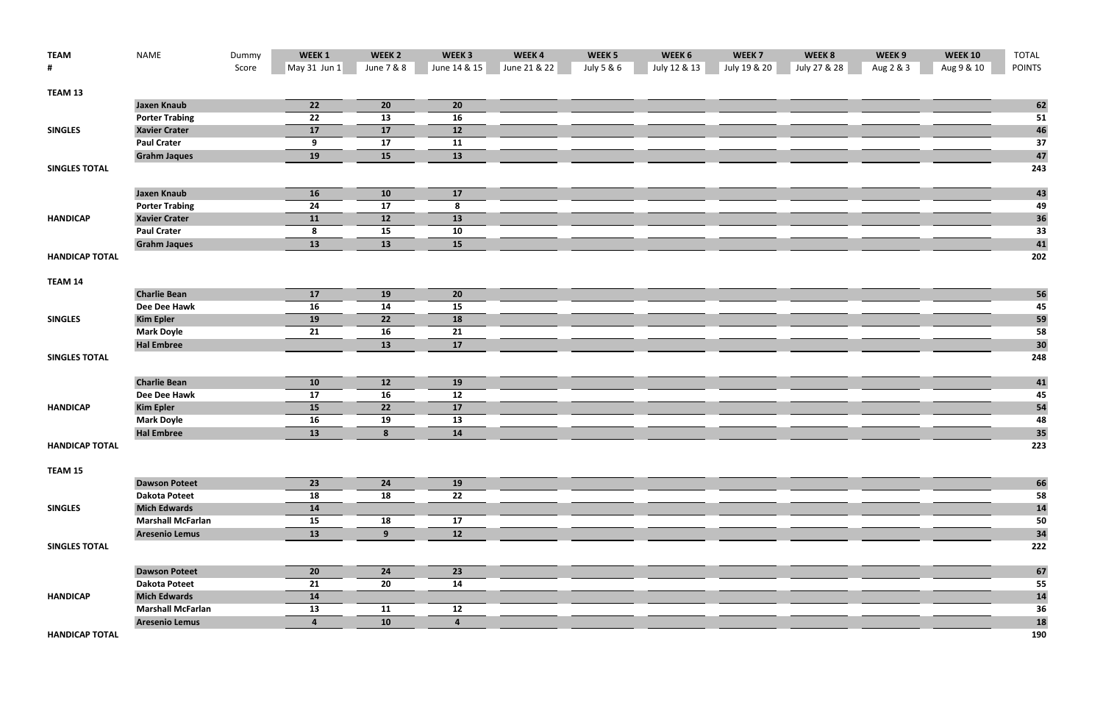| <b>TEAM</b>           | <b>NAME</b>              | Dummy | WEEK 1         | WEEK <sub>2</sub> | WEEK <sub>3</sub>       | WEEK4        | WEEK <sub>5</sub> | WEEK 6       | WEEK <sub>7</sub> | WEEK 8       | WEEK 9    | <b>WEEK 10</b> | <b>TOTAL</b>  |
|-----------------------|--------------------------|-------|----------------|-------------------|-------------------------|--------------|-------------------|--------------|-------------------|--------------|-----------|----------------|---------------|
| #                     |                          | Score | May 31 Jun 1   | June 7 & 8        | June 14 & 15            | June 21 & 22 | July 5 & 6        | July 12 & 13 | July 19 & 20      | July 27 & 28 | Aug 2 & 3 | Aug 9 & 10     | <b>POINTS</b> |
| TEAM 13               |                          |       |                |                   |                         |              |                   |              |                   |              |           |                |               |
|                       | <b>Jaxen Knaub</b>       |       | 22             | 20                | 20                      |              |                   |              |                   |              |           |                | 62            |
|                       | <b>Porter Trabing</b>    |       | 22             | 13                | 16                      |              |                   |              |                   |              |           |                | 51            |
| <b>SINGLES</b>        | <b>Xavier Crater</b>     |       | 17             | 17                | 12                      |              |                   |              |                   |              |           |                | 46            |
|                       | <b>Paul Crater</b>       |       | 9              | 17                | 11                      |              |                   |              |                   |              |           |                | 37            |
|                       | <b>Grahm Jaques</b>      |       | 19             | <b>15</b>         | 13                      |              |                   |              |                   |              |           |                | 47            |
| <b>SINGLES TOTAL</b>  |                          |       |                |                   |                         |              |                   |              |                   |              |           |                | 243           |
|                       | <b>Jaxen Knaub</b>       |       | 16             | 10                | 17                      |              |                   |              |                   |              |           |                | 43            |
|                       | <b>Porter Trabing</b>    |       | 24             | 17                | 8                       |              |                   |              |                   |              |           |                | 49            |
| <b>HANDICAP</b>       | <b>Xavier Crater</b>     |       | 11             | <b>12</b>         | 13                      |              |                   |              |                   |              |           |                | 36            |
|                       | <b>Paul Crater</b>       |       | 8              | 15                | 10                      |              |                   |              |                   |              |           |                | 33            |
|                       | <b>Grahm Jaques</b>      |       | 13             | 13                | 15                      |              |                   |              |                   |              |           |                | 41            |
| <b>HANDICAP TOTAL</b> |                          |       |                |                   |                         |              |                   |              |                   |              |           |                | 202           |
| TEAM 14               |                          |       |                |                   |                         |              |                   |              |                   |              |           |                |               |
|                       | <b>Charlie Bean</b>      |       | 17             | <b>19</b>         | 20                      |              |                   |              |                   |              |           |                | 56            |
|                       | Dee Dee Hawk             |       | 16             | 14                | 15                      |              |                   |              |                   |              |           |                | 45            |
| <b>SINGLES</b>        | <b>Kim Epler</b>         |       | 19             | 22                | 18                      |              |                   |              |                   |              |           |                | 59            |
|                       | <b>Mark Doyle</b>        |       | 21             | 16                | 21                      |              |                   |              |                   |              |           |                | 58            |
|                       | <b>Hal Embree</b>        |       |                | 13                | 17                      |              |                   |              |                   |              |           |                | 30            |
| <b>SINGLES TOTAL</b>  |                          |       |                |                   |                         |              |                   |              |                   |              |           |                | 248           |
|                       | <b>Charlie Bean</b>      |       | 10             | 12                | 19                      |              |                   |              |                   |              |           |                | 41            |
|                       | Dee Dee Hawk             |       | 17             | 16                | 12                      |              |                   |              |                   |              |           |                | 45            |
| <b>HANDICAP</b>       | <b>Kim Epler</b>         |       | 15             | 22                | 17                      |              |                   |              |                   |              |           |                | 54            |
|                       | <b>Mark Doyle</b>        |       | 16             | 19                | 13                      |              |                   |              |                   |              |           |                | 48            |
|                       | <b>Hal Embree</b>        |       | 13             | 8                 | 14                      |              |                   |              |                   |              |           |                | 35            |
| <b>HANDICAP TOTAL</b> |                          |       |                |                   |                         |              |                   |              |                   |              |           |                | 223           |
| TEAM 15               |                          |       |                |                   |                         |              |                   |              |                   |              |           |                |               |
|                       | <b>Dawson Poteet</b>     |       | 23             | 24                | 19                      |              |                   |              |                   |              |           |                | 66            |
|                       | <b>Dakota Poteet</b>     |       | 18             | 18                | 22                      |              |                   |              |                   |              |           |                | 58            |
| <b>SINGLES</b>        | <b>Mich Edwards</b>      |       | 14             |                   |                         |              |                   |              |                   |              |           |                | 14            |
|                       | <b>Marshall McFarlan</b> |       | 15             | 18                | 17                      |              |                   |              |                   |              |           |                | 50            |
|                       | <b>Aresenio Lemus</b>    |       | 13             | 9                 | 12                      |              |                   |              |                   |              |           |                | 34            |
| <b>SINGLES TOTAL</b>  |                          |       |                |                   |                         |              |                   |              |                   |              |           |                | 222           |
|                       | <b>Dawson Poteet</b>     |       | 20             | 24                | 23                      |              |                   |              |                   |              |           |                | 67            |
|                       | <b>Dakota Poteet</b>     |       | 21             | 20                | 14                      |              |                   |              |                   |              |           |                | 55            |
| <b>HANDICAP</b>       | <b>Mich Edwards</b>      |       | 14             |                   |                         |              |                   |              |                   |              |           |                | 14            |
|                       | <b>Marshall McFarlan</b> |       | 13             | 11                | 12                      |              |                   |              |                   |              |           |                | 36            |
|                       | <b>Aresenio Lemus</b>    |       | $\overline{4}$ | 10                | $\overline{\mathbf{4}}$ |              |                   |              |                   |              |           |                | 18            |

**HANDICAPTOTAL 190**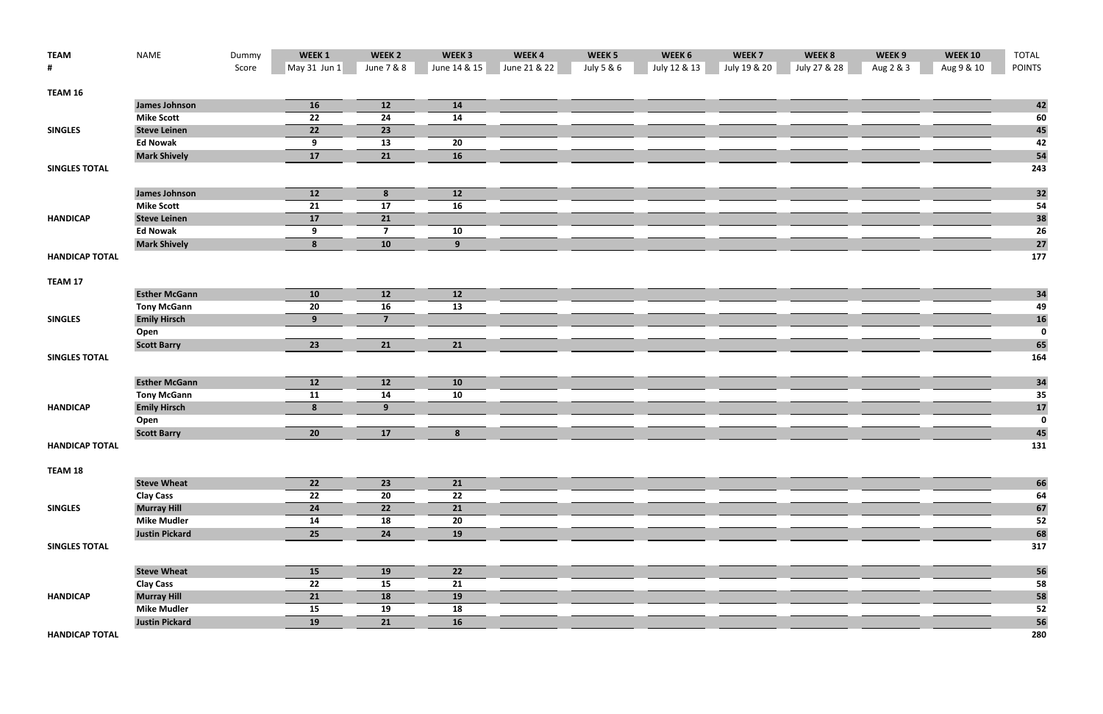| <b>TEAM</b>           | <b>NAME</b>           | Dummy | WEEK 1       | WEEK <sub>2</sub> | WEEK <sub>3</sub> | WEEK4        | WEEK <sub>5</sub> | WEEK 6       | WEEK <sub>7</sub> | WEEK 8       | WEEK 9    | <b>WEEK 10</b> | <b>TOTAL</b>                           |
|-----------------------|-----------------------|-------|--------------|-------------------|-------------------|--------------|-------------------|--------------|-------------------|--------------|-----------|----------------|----------------------------------------|
| #                     |                       | Score | May 31 Jun 1 | June 7 & 8        | June 14 & 15      | June 21 & 22 | July 5 & 6        | July 12 & 13 | July 19 & 20      | July 27 & 28 | Aug 2 & 3 | Aug 9 & 10     | <b>POINTS</b>                          |
| TEAM 16               |                       |       |              |                   |                   |              |                   |              |                   |              |           |                |                                        |
|                       | <b>James Johnson</b>  |       | 16           | 12                | 14                |              |                   |              |                   |              |           |                | 42                                     |
|                       | <b>Mike Scott</b>     |       | 22           | 24                | 14                |              |                   |              |                   |              |           |                | 60                                     |
| <b>SINGLES</b>        | <b>Steve Leinen</b>   |       | 22           | 23                |                   |              |                   |              |                   |              |           |                | 45                                     |
|                       | <b>Ed Nowak</b>       |       | 9            | 13                | 20                |              |                   |              |                   |              |           |                | 42                                     |
|                       | <b>Mark Shively</b>   |       | 17           | 21                | 16                |              |                   |              |                   |              |           |                | 54                                     |
| <b>SINGLES TOTAL</b>  |                       |       |              |                   |                   |              |                   |              |                   |              |           |                | 243                                    |
|                       | <b>James Johnson</b>  |       | 12           | 8                 | 12                |              |                   |              |                   |              |           |                | 32                                     |
|                       | <b>Mike Scott</b>     |       | 21           | 17                | 16                |              |                   |              |                   |              |           |                | 54                                     |
| <b>HANDICAP</b>       | <b>Steve Leinen</b>   |       | 17           | 21                |                   |              |                   |              |                   |              |           |                | 38                                     |
|                       | <b>Ed Nowak</b>       |       | 9            | $\overline{7}$    | 10                |              |                   |              |                   |              |           |                | <b>26</b>                              |
|                       | <b>Mark Shively</b>   |       | 8            | 10                | 9                 |              |                   |              |                   |              |           |                | 27                                     |
| <b>HANDICAP TOTAL</b> |                       |       |              |                   |                   |              |                   |              |                   |              |           |                | 177                                    |
| TEAM 17               |                       |       |              |                   |                   |              |                   |              |                   |              |           |                |                                        |
|                       | <b>Esther McGann</b>  |       | 10           | 12                | 12                |              |                   |              |                   |              |           |                | 34                                     |
|                       | <b>Tony McGann</b>    |       | 20           | 16                | 13                |              |                   |              |                   |              |           |                | 49                                     |
| <b>SINGLES</b>        | <b>Emily Hirsch</b>   |       | 9            | $\overline{7}$    |                   |              |                   |              |                   |              |           |                | $\begin{array}{c} 16 \\ 0 \end{array}$ |
|                       | Open                  |       |              |                   |                   |              |                   |              |                   |              |           |                |                                        |
|                       | <b>Scott Barry</b>    |       | 23           | 21                | 21                |              |                   |              |                   |              |           |                | 65                                     |
| <b>SINGLES TOTAL</b>  |                       |       |              |                   |                   |              |                   |              |                   |              |           |                | 164                                    |
|                       | <b>Esther McGann</b>  |       | 12           | 12                | 10                |              |                   |              |                   |              |           |                | 34                                     |
|                       | <b>Tony McGann</b>    |       | 11           | 14                | 10                |              |                   |              |                   |              |           |                | 35                                     |
| <b>HANDICAP</b>       | <b>Emily Hirsch</b>   |       | 8            | 9                 |                   |              |                   |              |                   |              |           |                | $\begin{array}{c} 17 \\ 0 \end{array}$ |
|                       | Open                  |       |              |                   |                   |              |                   |              |                   |              |           |                |                                        |
|                       | <b>Scott Barry</b>    |       | 20           | 17                | 8                 |              |                   |              |                   |              |           |                | 45                                     |
| <b>HANDICAP TOTAL</b> |                       |       |              |                   |                   |              |                   |              |                   |              |           |                | 131                                    |
| TEAM 18               |                       |       |              |                   |                   |              |                   |              |                   |              |           |                |                                        |
|                       | <b>Steve Wheat</b>    |       | 22           | 23                | 21                |              |                   |              |                   |              |           |                | 66                                     |
|                       | <b>Clay Cass</b>      |       | 22           | 20                | 22                |              |                   |              |                   |              |           |                | 64                                     |
| <b>SINGLES</b>        | <b>Murray Hill</b>    |       | 24           | 22                | 21                |              |                   |              |                   |              |           |                | 67                                     |
|                       | <b>Mike Mudler</b>    |       | 14           | 18                | 20                |              |                   |              |                   |              |           |                | 52                                     |
|                       | <b>Justin Pickard</b> |       | 25           | 24                | 19                |              |                   |              |                   |              |           |                | 68                                     |
| <b>SINGLES TOTAL</b>  |                       |       |              |                   |                   |              |                   |              |                   |              |           |                | 317                                    |
|                       | <b>Steve Wheat</b>    |       | 15           | <b>19</b>         | 22                |              |                   |              |                   |              |           |                | 56                                     |
|                       | <b>Clay Cass</b>      |       | 22           | 15                | 21                |              |                   |              |                   |              |           |                | 58                                     |
| <b>HANDICAP</b>       | <b>Murray Hill</b>    |       | 21           | 18                | 19                |              |                   |              |                   |              |           |                | 58                                     |
|                       | <b>Mike Mudler</b>    |       | 15           | 19                | 18                |              |                   |              |                   |              |           |                | 52                                     |
|                       | <b>Justin Pickard</b> |       | 19           | 21                | 16                |              |                   |              |                   |              |           |                | 56                                     |
| <b>HANDICAP TOTAL</b> |                       |       |              |                   |                   |              |                   |              |                   |              |           |                | 280                                    |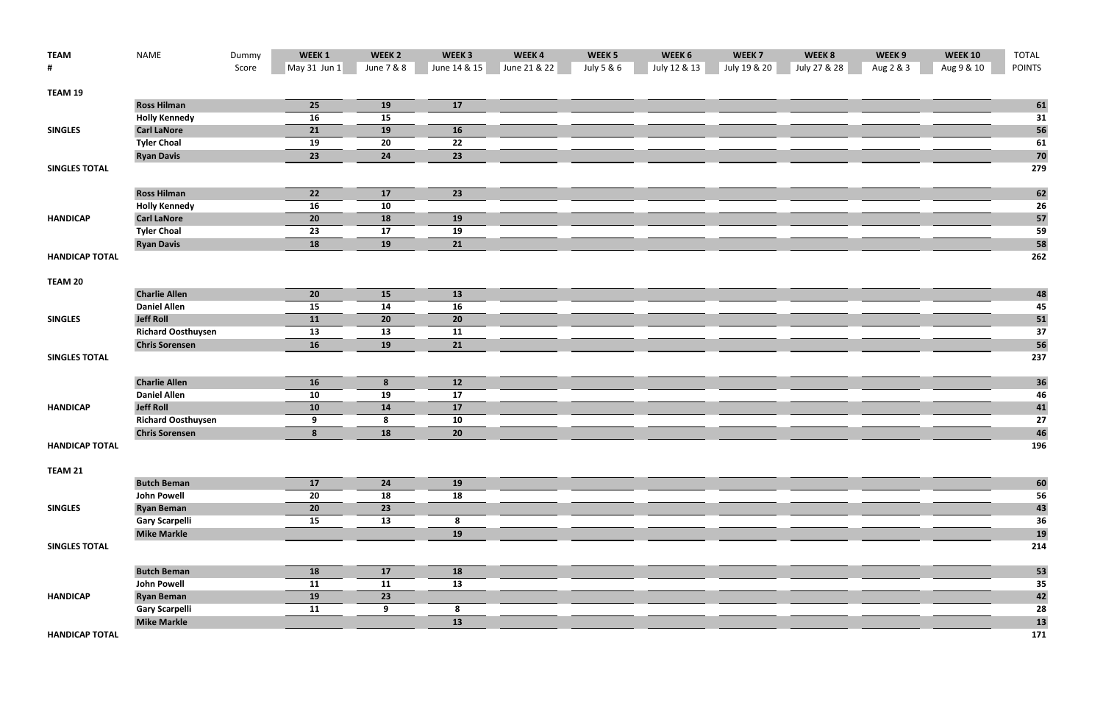| <b>TEAM</b>           | <b>NAME</b>               | Dummy | WEEK 1       | WEEK <sub>2</sub> | WEEK <sub>3</sub> | WEEK4        | WEEK <sub>5</sub> | WEEK 6       | WEEK <sub>7</sub> | WEEK 8       | WEEK 9    | <b>WEEK 10</b> | <b>TOTAL</b>  |
|-----------------------|---------------------------|-------|--------------|-------------------|-------------------|--------------|-------------------|--------------|-------------------|--------------|-----------|----------------|---------------|
| #                     |                           | Score | May 31 Jun 1 | June 7 & 8        | June 14 & 15      | June 21 & 22 | July 5 & 6        | July 12 & 13 | July 19 & 20      | July 27 & 28 | Aug 2 & 3 | Aug 9 & 10     | <b>POINTS</b> |
| TEAM 19               |                           |       |              |                   |                   |              |                   |              |                   |              |           |                |               |
|                       | <b>Ross Hilman</b>        |       | 25           | 19                | 17                |              |                   |              |                   |              |           |                | 61            |
|                       | <b>Holly Kennedy</b>      |       | 16           | 15                |                   |              |                   |              |                   |              |           |                | 31            |
| <b>SINGLES</b>        | <b>Carl LaNore</b>        |       | 21           | 19                | 16                |              |                   |              |                   |              |           |                | 56            |
|                       | <b>Tyler Choal</b>        |       | 19           | 20                | 22                |              |                   |              |                   |              |           |                | 61            |
|                       | <b>Ryan Davis</b>         |       | 23           | 24                | 23                |              |                   |              |                   |              |           |                | 70            |
| <b>SINGLES TOTAL</b>  |                           |       |              |                   |                   |              |                   |              |                   |              |           |                | 279           |
|                       | <b>Ross Hilman</b>        |       | 22           | 17                | 23                |              |                   |              |                   |              |           |                |               |
|                       | <b>Holly Kennedy</b>      |       | 16           | 10                |                   |              |                   |              |                   |              |           |                | 62<br>26      |
| <b>HANDICAP</b>       | <b>Carl LaNore</b>        |       | 20           | <b>18</b>         | <b>19</b>         |              |                   |              |                   |              |           |                | 57            |
|                       | <b>Tyler Choal</b>        |       | 23           | 17                | 19                |              |                   |              |                   |              |           |                | 59            |
|                       | <b>Ryan Davis</b>         |       | <b>18</b>    | 19                | 21                |              |                   |              |                   |              |           |                | 58            |
| <b>HANDICAP TOTAL</b> |                           |       |              |                   |                   |              |                   |              |                   |              |           |                | 262           |
|                       |                           |       |              |                   |                   |              |                   |              |                   |              |           |                |               |
| <b>TEAM 20</b>        |                           |       |              |                   |                   |              |                   |              |                   |              |           |                |               |
|                       | <b>Charlie Allen</b>      |       | 20           | 15                | 13                |              |                   |              |                   |              |           |                | 48            |
|                       | <b>Daniel Allen</b>       |       | 15           | 14                | 16                |              |                   |              |                   |              |           |                | 45            |
| <b>SINGLES</b>        | <b>Jeff Roll</b>          |       | 11           | 20                | 20                |              |                   |              |                   |              |           |                | 51            |
|                       | <b>Richard Oosthuysen</b> |       | 13           | 13                | 11                |              |                   |              |                   |              |           |                | 37            |
|                       | <b>Chris Sorensen</b>     |       | 16           | 19                | 21                |              |                   |              |                   |              |           |                | 56            |
| <b>SINGLES TOTAL</b>  |                           |       |              |                   |                   |              |                   |              |                   |              |           |                | 237           |
|                       | <b>Charlie Allen</b>      |       | <b>16</b>    | 8                 | 12                |              |                   |              |                   |              |           |                | 36            |
|                       | <b>Daniel Allen</b>       |       | 10           | 19                | 17                |              |                   |              |                   |              |           |                | 46            |
| <b>HANDICAP</b>       | <b>Jeff Roll</b>          |       | 10           | 14                | 17                |              |                   |              |                   |              |           |                | 41            |
|                       | <b>Richard Oosthuysen</b> |       | 9            | 8                 | 10                |              |                   |              |                   |              |           |                | 27            |
|                       | <b>Chris Sorensen</b>     |       | 8            | 18                | 20                |              |                   |              |                   |              |           |                | 46            |
| <b>HANDICAP TOTAL</b> |                           |       |              |                   |                   |              |                   |              |                   |              |           |                | 196           |
| TEAM 21               |                           |       |              |                   |                   |              |                   |              |                   |              |           |                |               |
|                       | <b>Butch Beman</b>        |       | 17           | 24                | <b>19</b>         |              |                   |              |                   |              |           |                | 60            |
|                       | <b>John Powell</b>        |       | 20           | 18                | 18                |              |                   |              |                   |              |           |                | 56            |
| <b>SINGLES</b>        | <b>Ryan Beman</b>         |       | 20           | 23                |                   |              |                   |              |                   |              |           |                | 43            |
|                       | <b>Gary Scarpelli</b>     |       | 15           | 13                | 8                 |              |                   |              |                   |              |           |                | 36            |
|                       | <b>Mike Markle</b>        |       |              |                   | 19                |              |                   |              |                   |              |           |                | 19            |
| <b>SINGLES TOTAL</b>  |                           |       |              |                   |                   |              |                   |              |                   |              |           |                | 214           |
|                       | <b>Butch Beman</b>        |       | <b>18</b>    | 17                | 18                |              |                   |              |                   |              |           |                | 53            |
|                       | <b>John Powell</b>        |       | 11           | 11                | 13                |              |                   |              |                   |              |           |                | 35            |
| <b>HANDICAP</b>       | <b>Ryan Beman</b>         |       | 19           | 23                |                   |              |                   |              |                   |              |           |                | 42            |
|                       | <b>Gary Scarpelli</b>     |       | 11           | 9                 | 8                 |              |                   |              |                   |              |           |                | 28            |
|                       | <b>Mike Markle</b>        |       |              |                   | 13                |              |                   |              |                   |              |           |                | 13            |
| <b>HANDICAP TOTAL</b> |                           |       |              |                   |                   |              |                   |              |                   |              |           |                | 171           |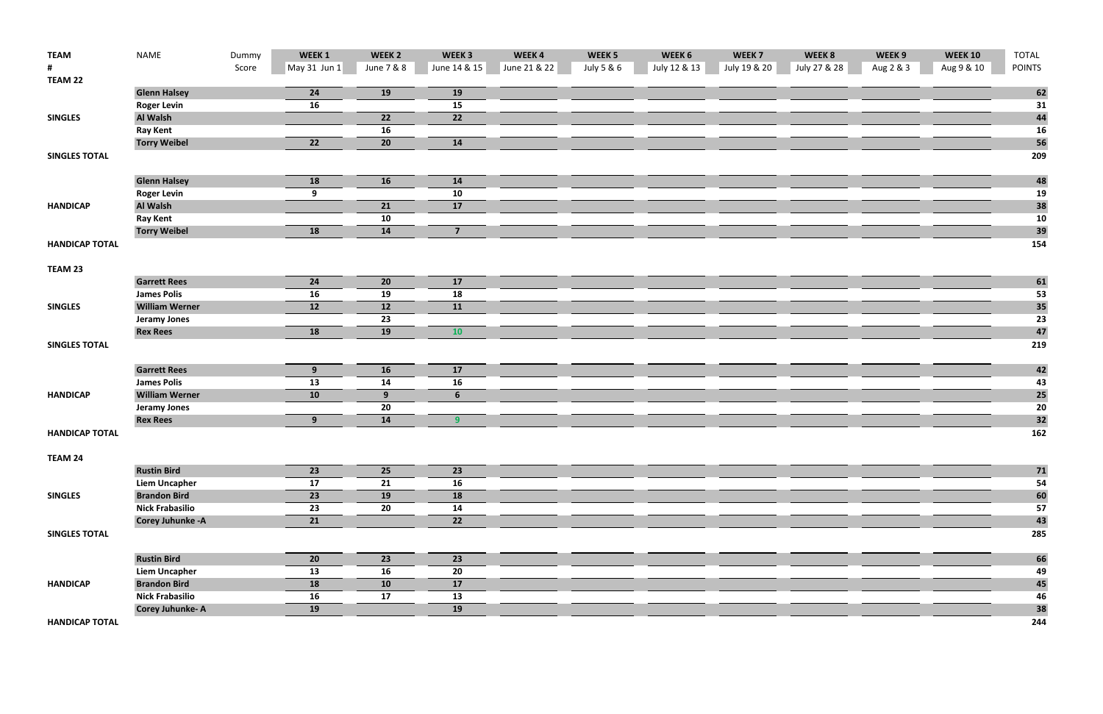| <b>TEAM</b>           | <b>NAME</b>              | Dummy | WEEK 1       | WEEK <sub>2</sub> | WEEK <sub>3</sub> | WEEK4        | WEEK <sub>5</sub> | WEEK 6       | WEEK <sub>7</sub> | WEEK 8       | WEEK 9    | <b>WEEK 10</b> | <b>TOTAL</b>    |
|-----------------------|--------------------------|-------|--------------|-------------------|-------------------|--------------|-------------------|--------------|-------------------|--------------|-----------|----------------|-----------------|
|                       |                          | Score | May 31 Jun 1 | June 7 & 8        | June 14 & 15      | June 21 & 22 | July 5 & 6        | July 12 & 13 | July 19 & 20      | July 27 & 28 | Aug 2 & 3 | Aug 9 & 10     | <b>POINTS</b>   |
| TEAM 22               |                          |       |              |                   |                   |              |                   |              |                   |              |           |                |                 |
|                       | <b>Glenn Halsey</b>      |       | 24           | 19                | 19                |              |                   |              |                   |              |           |                | 62              |
|                       | <b>Roger Levin</b>       |       | 16           |                   | 15                |              |                   |              |                   |              |           |                | 31              |
| <b>SINGLES</b>        | Al Walsh                 |       |              | 22                | 22                |              |                   |              |                   |              |           |                | 44              |
|                       | <b>Ray Kent</b>          |       |              | 16                |                   |              |                   |              |                   |              |           |                | <b>16</b>       |
|                       | <b>Torry Weibel</b>      |       | 22           | 20                | 14                |              |                   |              |                   |              |           |                | 56              |
| <b>SINGLES TOTAL</b>  |                          |       |              |                   |                   |              |                   |              |                   |              |           |                | 209             |
|                       |                          |       |              |                   |                   |              |                   |              |                   |              |           |                |                 |
|                       | <b>Glenn Halsey</b>      |       | 18           | 16                | 14                |              |                   |              |                   |              |           |                |                 |
|                       | <b>Roger Levin</b>       |       | 9            |                   | 10                |              |                   |              |                   |              |           |                | $\frac{48}{19}$ |
| <b>HANDICAP</b>       | Al Walsh                 |       |              | 21                | 17                |              |                   |              |                   |              |           |                | 38              |
|                       | <b>Ray Kent</b>          |       |              | 10                |                   |              |                   |              |                   |              |           |                | 10              |
|                       | <b>Torry Weibel</b>      |       | 18           | 14                | $\overline{7}$    |              |                   |              |                   |              |           |                | 39              |
| <b>HANDICAP TOTAL</b> |                          |       |              |                   |                   |              |                   |              |                   |              |           |                | 154             |
|                       |                          |       |              |                   |                   |              |                   |              |                   |              |           |                |                 |
| TEAM 23               |                          |       |              |                   |                   |              |                   |              |                   |              |           |                |                 |
|                       | <b>Garrett Rees</b>      |       | 24           | 20                | 17                |              |                   |              |                   |              |           |                | 61              |
|                       | <b>James Polis</b>       |       | 16           | 19                | 18                |              |                   |              |                   |              |           |                | 53              |
| <b>SINGLES</b>        | <b>William Werner</b>    |       | 12           | 12                | 11                |              |                   |              |                   |              |           |                | 35              |
|                       | <b>Jeramy Jones</b>      |       |              | 23                |                   |              |                   |              |                   |              |           |                | 23              |
|                       | <b>Rex Rees</b>          |       | 18           | 19                | <b>10</b>         |              |                   |              |                   |              |           |                | 47              |
| <b>SINGLES TOTAL</b>  |                          |       |              |                   |                   |              |                   |              |                   |              |           |                | 219             |
|                       |                          |       |              |                   |                   |              |                   |              |                   |              |           |                |                 |
|                       | <b>Garrett Rees</b>      |       | 9            | <b>16</b>         | 17                |              |                   |              |                   |              |           |                | 42              |
|                       | <b>James Polis</b>       |       | 13           | 14                | 16                |              |                   |              |                   |              |           |                | 43              |
| <b>HANDICAP</b>       | <b>William Werner</b>    |       | 10           | 9                 | 6                 |              |                   |              |                   |              |           |                | 25              |
|                       | <b>Jeramy Jones</b>      |       |              | 20                |                   |              |                   |              |                   |              |           |                | 20              |
|                       | <b>Rex Rees</b>          |       | 9            | 14                | 9                 |              |                   |              |                   |              |           |                | 32              |
| <b>HANDICAP TOTAL</b> |                          |       |              |                   |                   |              |                   |              |                   |              |           |                | 162             |
|                       |                          |       |              |                   |                   |              |                   |              |                   |              |           |                |                 |
| TEAM 24               |                          |       |              |                   |                   |              |                   |              |                   |              |           |                |                 |
|                       | <b>Rustin Bird</b>       |       | 23           | 25                | 23                |              |                   |              |                   |              |           |                | 71              |
|                       | <b>Liem Uncapher</b>     |       | 17           | 21                | 16                |              |                   |              |                   |              |           |                | 54              |
| <b>SINGLES</b>        | <b>Brandon Bird</b>      |       | 23           | 19                | 18                |              |                   |              |                   |              |           |                | 60              |
|                       | <b>Nick Frabasilio</b>   |       | 23           | 20                | 14                |              |                   |              |                   |              |           |                | 57              |
|                       | <b>Corey Juhunke - A</b> |       | 21           |                   | $\overline{22}$   |              |                   |              |                   |              |           |                | 43              |
| <b>SINGLES TOTAL</b>  |                          |       |              |                   |                   |              |                   |              |                   |              |           |                | 285             |
|                       |                          |       |              |                   |                   |              |                   |              |                   |              |           |                |                 |
|                       | <b>Rustin Bird</b>       |       | 20           | 23                | 23                |              |                   |              |                   |              |           |                | 66              |
|                       | <b>Liem Uncapher</b>     |       | 13           | 16                | 20                |              |                   |              |                   |              |           |                | 49              |
| <b>HANDICAP</b>       | <b>Brandon Bird</b>      |       | 18           | 10                | 17                |              |                   |              |                   |              |           |                | 45              |
|                       | <b>Nick Frabasilio</b>   |       | 16           | 17                | 13                |              |                   |              |                   |              |           |                | 46              |
|                       | <b>Corey Juhunke-A</b>   |       | 19           |                   | 19                |              |                   |              |                   |              |           |                | 38              |
| <b>HANDICAP TOTAL</b> |                          |       |              |                   |                   |              |                   |              |                   |              |           |                | 244             |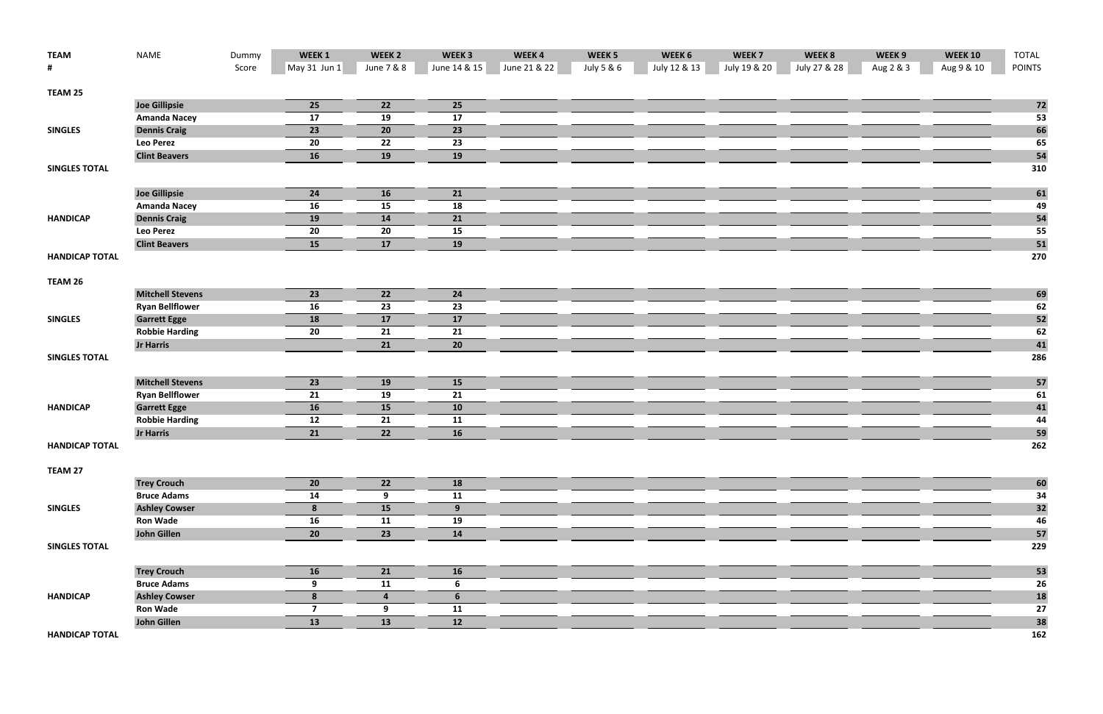| <b>TEAM</b>           | <b>NAME</b>                               | Dummy | WEEK 1         | WEEK <sub>2</sub> | WEEK <sub>3</sub> | WEEK4        | WEEK <sub>5</sub> | WEEK 6       | WEEK <sub>7</sub> | WEEK 8       | WEEK 9    | <b>WEEK 10</b> | <b>TOTAL</b>  |
|-----------------------|-------------------------------------------|-------|----------------|-------------------|-------------------|--------------|-------------------|--------------|-------------------|--------------|-----------|----------------|---------------|
| #                     |                                           | Score | May 31 Jun $1$ | June 7 & 8        | June 14 & 15      | June 21 & 22 | July 5 & 6        | July 12 & 13 | July 19 & 20      | July 27 & 28 | Aug 2 & 3 | Aug 9 & 10     | <b>POINTS</b> |
| TEAM 25               |                                           |       |                |                   |                   |              |                   |              |                   |              |           |                |               |
|                       | <b>Joe Gillipsie</b>                      |       | 25             | 22                | 25                |              |                   |              |                   |              |           |                | 72            |
|                       | <b>Amanda Nacey</b>                       |       | 17             | 19                | 17                |              |                   |              |                   |              |           |                | 53            |
| <b>SINGLES</b>        | <b>Dennis Craig</b>                       |       | 23             | 20                | 23                |              |                   |              |                   |              |           |                | 66            |
|                       | <b>Leo Perez</b>                          |       | 20             | 22                | 23                |              |                   |              |                   |              |           |                | 65            |
|                       | <b>Clint Beavers</b>                      |       | 16             | 19                | 19                |              |                   |              |                   |              |           |                | 54            |
| <b>SINGLES TOTAL</b>  |                                           |       |                |                   |                   |              |                   |              |                   |              |           |                | 310           |
|                       |                                           |       |                |                   |                   |              |                   |              |                   |              |           |                |               |
|                       | <b>Joe Gillipsie</b>                      |       | 24             | <b>16</b>         | 21                |              |                   |              |                   |              |           |                | 61            |
|                       | <b>Amanda Nacey</b>                       |       | 16             | 15                | 18                |              |                   |              |                   |              |           |                | 49            |
| <b>HANDICAP</b>       | <b>Dennis Craig</b>                       |       | 19             | 14                | 21                |              |                   |              |                   |              |           |                | 54            |
|                       | <b>Leo Perez</b>                          |       | 20             | 20                | 15                |              |                   |              |                   |              |           |                | 55            |
|                       | <b>Clint Beavers</b>                      |       | 15             | 17                | 19                |              |                   |              |                   |              |           |                | 51            |
| <b>HANDICAP TOTAL</b> |                                           |       |                |                   |                   |              |                   |              |                   |              |           |                | 270           |
|                       |                                           |       |                |                   |                   |              |                   |              |                   |              |           |                |               |
| TEAM 26               |                                           |       |                |                   |                   |              |                   |              |                   |              |           |                |               |
|                       | <b>Mitchell Stevens</b>                   |       | 23             | 22                | 24                |              |                   |              |                   |              |           |                | 69            |
|                       | <b>Ryan Bellflower</b>                    |       | 16             | 23                | 23                |              |                   |              |                   |              |           |                | 62            |
| <b>SINGLES</b>        | <b>Garrett Egge</b>                       |       | 18             | 17                | 17                |              |                   |              |                   |              |           |                | 52            |
|                       | <b>Robbie Harding</b><br><b>Jr Harris</b> |       | 20             | 21<br>21          | 21                |              |                   |              |                   |              |           |                | 62<br>41      |
| <b>SINGLES TOTAL</b>  |                                           |       |                |                   | 20                |              |                   |              |                   |              |           |                | 286           |
|                       |                                           |       |                |                   |                   |              |                   |              |                   |              |           |                |               |
|                       | <b>Mitchell Stevens</b>                   |       | 23             | <b>19</b>         | 15                |              |                   |              |                   |              |           |                | 57            |
|                       | <b>Ryan Bellflower</b>                    |       | 21             | 19                | 21                |              |                   |              |                   |              |           |                | 61            |
| <b>HANDICAP</b>       | <b>Garrett Egge</b>                       |       | 16             | 15                | 10                |              |                   |              |                   |              |           |                | 41            |
|                       | <b>Robbie Harding</b>                     |       | 12             | 21                | 11                |              |                   |              |                   |              |           |                | 44            |
|                       | <b>Jr Harris</b>                          |       | 21             | 22                | 16                |              |                   |              |                   |              |           |                | 59            |
| <b>HANDICAP TOTAL</b> |                                           |       |                |                   |                   |              |                   |              |                   |              |           |                | 262           |
|                       |                                           |       |                |                   |                   |              |                   |              |                   |              |           |                |               |
| TEAM 27               |                                           |       |                |                   |                   |              |                   |              |                   |              |           |                |               |
|                       | <b>Trey Crouch</b>                        |       | 20             | 22                | 18                |              |                   |              |                   |              |           |                | 60            |
|                       | <b>Bruce Adams</b>                        |       | 14             | 9                 | 11                |              |                   |              |                   |              |           |                | 34            |
| <b>SINGLES</b>        | <b>Ashley Cowser</b>                      |       | 8              | 15                | 9                 |              |                   |              |                   |              |           |                | 32            |
|                       | <b>Ron Wade</b>                           |       | 16             | 11                | 19                |              |                   |              |                   |              |           |                | 46            |
|                       | John Gillen                               |       | 20             | 23                | 14                |              |                   |              |                   |              |           |                | 57            |
| <b>SINGLES TOTAL</b>  |                                           |       |                |                   |                   |              |                   |              |                   |              |           |                | 229           |
|                       | <b>Trey Crouch</b>                        |       | <b>16</b>      | 21                | <b>16</b>         |              |                   |              |                   |              |           |                | 53            |
|                       | <b>Bruce Adams</b>                        |       | 9              | 11                | $6\phantom{1}$    |              |                   |              |                   |              |           |                | 26            |
| <b>HANDICAP</b>       | <b>Ashley Cowser</b>                      |       | 8              | $\overline{4}$    | 6                 |              |                   |              |                   |              |           |                | <b>18</b>     |
|                       | <b>Ron Wade</b>                           |       | 7              | 9                 | 11                |              |                   |              |                   |              |           |                | 27            |
|                       | <b>John Gillen</b>                        |       | 13             | 13                | 12                |              |                   |              |                   |              |           |                | 38            |
|                       |                                           |       |                |                   |                   |              |                   |              |                   |              |           |                |               |

**HANDICAPTOTAL 162**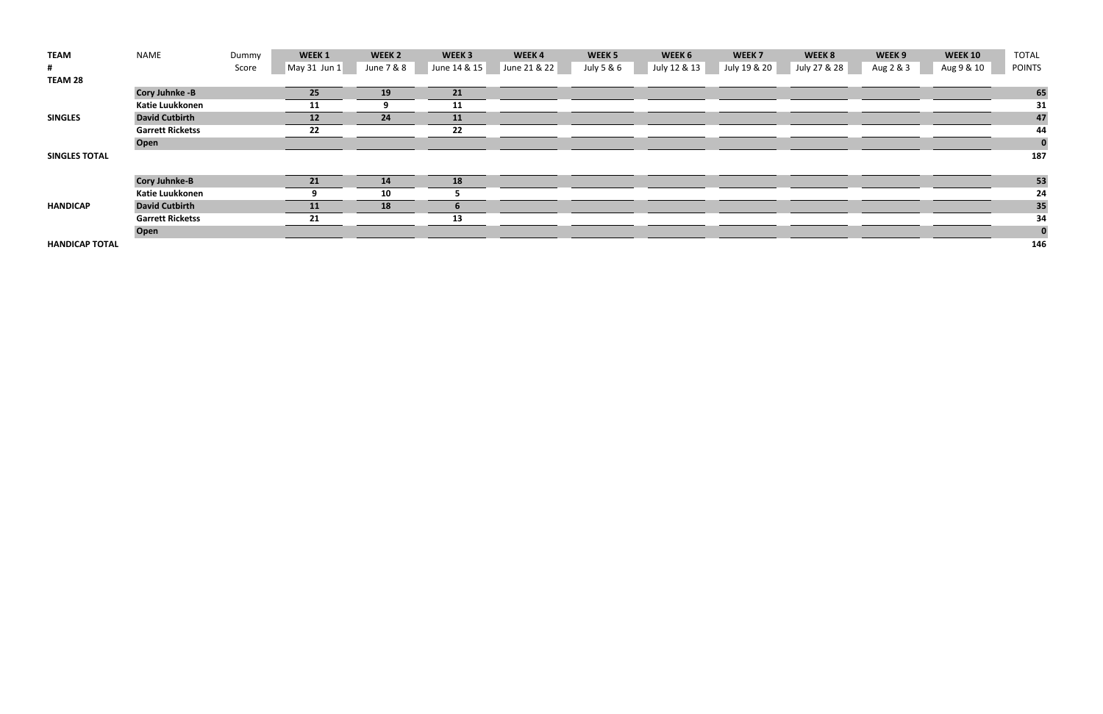| <b>TEAM</b>           | NAME                    | Dummy | WEEK <sub>1</sub>      | WEEK <sub>2</sub> | WEEK <sub>3</sub> | WEEK4        | WEEK <sub>5</sub> | WEEK 6       | WEEK <sub>7</sub> | WEEK 8       | WEEK 9    | <b>WEEK 10</b> | <b>TOTAL</b>  |
|-----------------------|-------------------------|-------|------------------------|-------------------|-------------------|--------------|-------------------|--------------|-------------------|--------------|-----------|----------------|---------------|
| #                     |                         | Score | $\lfloor$ May 31 Jun 1 | June 7 & 8        | June 14 & 15      | June 21 & 22 | July 5 & 6        | July 12 & 13 | July 19 & 20      | July 27 & 28 | Aug 2 & 3 | Aug 9 & 10     | <b>POINTS</b> |
| <b>TEAM 28</b>        |                         |       |                        |                   |                   |              |                   |              |                   |              |           |                |               |
|                       | <b>Cory Juhnke -B</b>   |       | 25                     | 19                | 21                |              |                   |              |                   |              |           |                | 65            |
|                       | <b>Katie Luukkonen</b>  |       | 11                     |                   | 11                |              |                   |              |                   |              |           |                | 31            |
| <b>SINGLES</b>        | <b>David Cutbirth</b>   |       | 12                     | 24                | 11                |              |                   |              |                   |              |           |                | 47            |
|                       | <b>Garrett Ricketss</b> |       | 22                     |                   | 22                |              |                   |              |                   |              |           |                | 44            |
|                       | <b>Open</b>             |       |                        |                   |                   |              |                   |              |                   |              |           |                | $\bf{0}$      |
| <b>SINGLES TOTAL</b>  |                         |       |                        |                   |                   |              |                   |              |                   |              |           |                | 187           |
|                       |                         |       |                        |                   |                   |              |                   |              |                   |              |           |                |               |
|                       | <b>Cory Juhnke-B</b>    |       | 21                     | 14                | 18                |              |                   |              |                   |              |           |                | 53            |
|                       | Katie Luukkonen         |       |                        | 10                |                   |              |                   |              |                   |              |           |                | 24            |
| <b>HANDICAP</b>       | <b>David Cutbirth</b>   |       | 11                     | 18                |                   |              |                   |              |                   |              |           |                | 35            |
|                       | <b>Garrett Ricketss</b> |       | 21                     |                   | 13                |              |                   |              |                   |              |           |                | 34            |
|                       | Open                    |       |                        |                   |                   |              |                   |              |                   |              |           |                | $\bf{0}$      |
| <b>HANDICAP TOTAL</b> |                         |       |                        |                   |                   |              |                   |              |                   |              |           |                | 146           |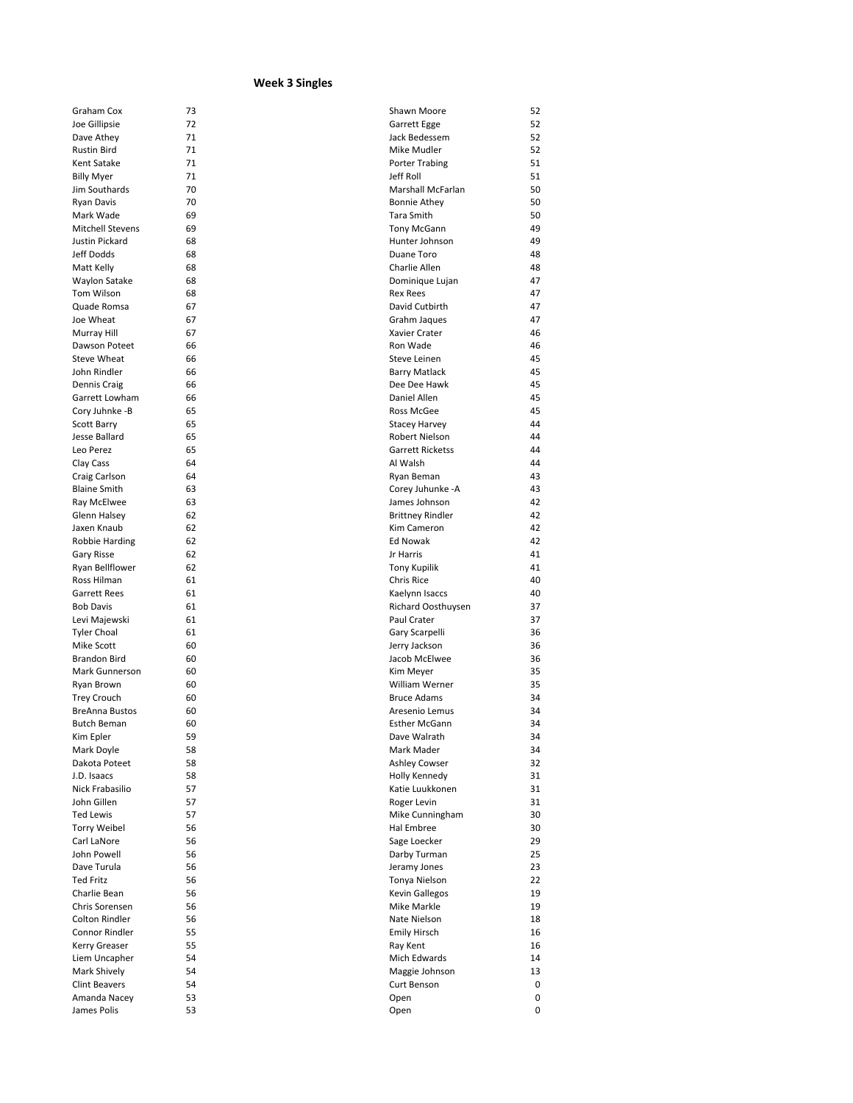## **Week 3 Singles**

| Graham Cox                                  | 73       | Shawn Moore                          | 52       |
|---------------------------------------------|----------|--------------------------------------|----------|
| Joe Gillipsie                               | 72       | Garrett Egge                         | 52       |
| Dave Athey                                  | 71       | Jack Bedessem                        | 52       |
| <b>Rustin Bird</b>                          | 71       | Mike Mudler                          | 52       |
| Kent Satake                                 | 71       | <b>Porter Trabing</b>                | 51       |
| <b>Billy Myer</b>                           | 71       | Jeff Roll                            | 51       |
| Jim Southards                               | 70       | Marshall McFarlan                    | 50       |
| <b>Ryan Davis</b>                           | 70       | <b>Bonnie Athey</b>                  | 50       |
| Mark Wade                                   | 69       | Tara Smith                           | 50       |
| <b>Mitchell Stevens</b>                     | 69       | <b>Tony McGann</b>                   | 49       |
| Justin Pickard                              | 68       | Hunter Johnson                       | 49       |
| Jeff Dodds                                  | 68       | Duane Toro                           | 48       |
| Matt Kelly                                  | 68       | Charlie Allen                        | 48       |
| Waylon Satake                               | 68       | Dominique Lujan                      | 47       |
| Tom Wilson<br>Quade Romsa                   | 68<br>67 | <b>Rex Rees</b><br>David Cutbirth    | 47<br>47 |
| Joe Wheat                                   | 67       |                                      | 47       |
| Murray Hill                                 | 67       | Grahm Jaques<br>Xavier Crater        | 46       |
| Dawson Poteet                               | 66       | Ron Wade                             | 46       |
| <b>Steve Wheat</b>                          | 66       | Steve Leinen                         | 45       |
| John Rindler                                | 66       | Barry Matlack                        | 45       |
| Dennis Craig                                | 66       | Dee Dee Hawk                         | 45       |
| Garrett Lowham                              | 66       | Daniel Allen                         | 45       |
| Cory Juhnke -B                              | 65       | Ross McGee                           | 45       |
| Scott Barry                                 | 65       | Stacey Harvey                        | 44       |
| Jesse Ballard                               | 65       | <b>Robert Nielson</b>                | 44       |
| Leo Perez                                   | 65       | <b>Garrett Ricketss</b>              | 44       |
| Clay Cass                                   | 64       | Al Walsh                             | 44       |
| Craig Carlson                               | 64       | Ryan Beman                           | 43       |
| <b>Blaine Smith</b>                         | 63       | Corey Juhunke -A                     | 43       |
| Ray McElwee                                 | 63       | James Johnson                        | 42       |
| Glenn Halsey                                | 62       | <b>Brittney Rindler</b>              | 42       |
| Jaxen Knaub                                 | 62       | Kim Cameron                          | 42       |
| Robbie Harding                              | 62       | Ed Nowak                             | 42       |
| Gary Risse                                  | 62       | Jr Harris                            | 41       |
| Ryan Bellflower                             | 62       | <b>Tony Kupilik</b>                  | 41       |
| Ross Hilman                                 | 61       | Chris Rice                           | 40       |
| <b>Garrett Rees</b>                         | 61       | Kaelynn Isaccs                       | 40       |
| <b>Bob Davis</b>                            | 61       | Richard Oosthuysen                   | 37       |
| Levi Majewski                               | 61       | Paul Crater                          | 37       |
| <b>Tyler Choal</b>                          | 61       | Gary Scarpelli                       | 36       |
| Mike Scott                                  | 60       | Jerry Jackson                        | 36       |
| <b>Brandon Bird</b>                         | 60       | Jacob McElwee                        | 36       |
| Mark Gunnerson                              | 60       | Kim Meyer                            | 35       |
| Ryan Brown                                  | 60       | William Werner                       | 35       |
| <b>Trey Crouch</b>                          | 60       | <b>Bruce Adams</b><br>Aresenio Lemus | 34       |
| <b>BreAnna Bustos</b><br><b>Butch Beman</b> | 60<br>60 | <b>Esther McGann</b>                 | 34<br>34 |
| Kim Epler                                   | 59       | Dave Walrath                         | 34       |
| Mark Doyle                                  | 58       | Mark Mader                           | 34       |
| Dakota Poteet                               | 58       | <b>Ashley Cowser</b>                 | 32       |
| J.D. Isaacs                                 | 58       | Holly Kennedy                        | 31       |
| Nick Frabasilio                             | 57       | Katie Luukkonen                      | 31       |
| John Gillen                                 | 57       | Roger Levin                          | 31       |
| <b>Ted Lewis</b>                            | 57       | Mike Cunningham                      | 30       |
| <b>Torry Weibel</b>                         | 56       | Hal Embree                           | 30       |
| Carl LaNore                                 | 56       | Sage Loecker                         | 29       |
| John Powell                                 | 56       | Darby Turman                         | 25       |
| Dave Turula                                 | 56       | Jeramy Jones                         | 23       |
| <b>Ted Fritz</b>                            | 56       | Tonya Nielson                        | 22       |
| Charlie Bean                                |          | <b>Kevin Gallegos</b>                | 19       |
| Chris Sorensen                              | 56       |                                      |          |
|                                             | 56       | Mike Markle                          | 19       |
| Colton Rindler                              | 56       | Nate Nielson                         | 18       |
| Connor Rindler                              | 55       | <b>Emily Hirsch</b>                  | 16       |
| Kerry Greaser                               | 55       | Ray Kent                             | 16       |
| Liem Uncapher                               | 54       | Mich Edwards                         | 14       |
| Mark Shively                                | 54       | Maggie Johnson                       | 13       |
| <b>Clint Beavers</b>                        | 54       | Curt Benson                          | 0        |
| Amanda Nacey<br>James Polis                 | 53<br>53 | Open                                 | 0        |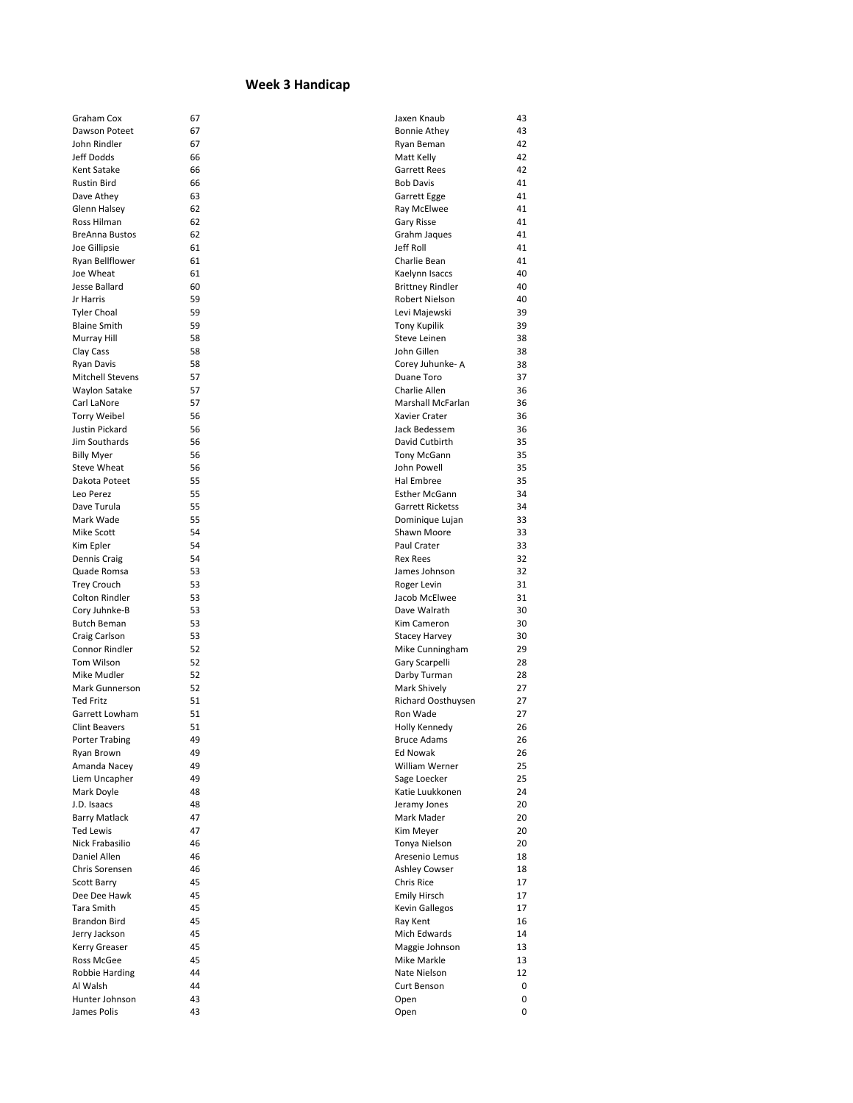## **Week 3 Handicap**

| Graham Cox              | 67 | Jaxen Knaub             | 43 |
|-------------------------|----|-------------------------|----|
| Dawson Poteet           | 67 | <b>Bonnie Athey</b>     | 43 |
| John Rindler            | 67 | Ryan Beman              | 42 |
| Jeff Dodds              | 66 | Matt Kelly              | 42 |
| Kent Satake             | 66 | <b>Garrett Rees</b>     | 42 |
| <b>Rustin Bird</b>      | 66 | <b>Bob Davis</b>        | 41 |
| Dave Athey              | 63 | Garrett Egge            | 41 |
| Glenn Halsey            | 62 | Ray McElwee             | 41 |
| Ross Hilman             | 62 | Gary Risse              | 41 |
| <b>BreAnna Bustos</b>   | 62 | Grahm Jaques            | 41 |
| Joe Gillipsie           | 61 | Jeff Roll               | 41 |
| Ryan Bellflower         | 61 | Charlie Bean            | 41 |
| Joe Wheat               | 61 | Kaelynn Isaccs          | 40 |
| Jesse Ballard           | 60 | <b>Brittney Rindler</b> | 40 |
| Jr Harris               | 59 | Robert Nielson          | 40 |
| <b>Tyler Choal</b>      | 59 | Levi Majewski           | 39 |
| <b>Blaine Smith</b>     | 59 | <b>Tony Kupilik</b>     | 39 |
| Murray Hill             | 58 | Steve Leinen            | 38 |
| Clay Cass               | 58 | John Gillen             | 38 |
| <b>Ryan Davis</b>       | 58 | Corey Juhunke- A        | 38 |
| <b>Mitchell Stevens</b> | 57 | Duane Toro              | 37 |
| Waylon Satake           | 57 | Charlie Allen           | 36 |
| Carl LaNore             | 57 | Marshall McFarlan       | 36 |
| <b>Torry Weibel</b>     | 56 | Xavier Crater           | 36 |
| Justin Pickard          | 56 | Jack Bedessem           | 36 |
| Jim Southards           | 56 | David Cutbirth          | 35 |
| <b>Billy Myer</b>       | 56 | <b>Tony McGann</b>      | 35 |
| Steve Wheat             | 56 | John Powell             | 35 |
| Dakota Poteet           | 55 | Hal Embree              | 35 |
| Leo Perez               | 55 | <b>Esther McGann</b>    | 34 |
| Dave Turula             | 55 | Garrett Ricketss        | 34 |
| Mark Wade               | 55 | Dominique Lujan         | 33 |
| Mike Scott              | 54 | Shawn Moore             | 33 |
| Kim Epler               | 54 | Paul Crater             | 33 |
| Dennis Craig            | 54 | <b>Rex Rees</b>         | 32 |
| Quade Romsa             | 53 | James Johnson           | 32 |
| <b>Trey Crouch</b>      | 53 | Roger Levin             | 31 |
| <b>Colton Rindler</b>   | 53 | Jacob McElwee           | 31 |
| Cory Juhnke-B           | 53 | Dave Walrath            | 30 |
| <b>Butch Beman</b>      | 53 | Kim Cameron             | 30 |
| Craig Carlson           | 53 | <b>Stacey Harvey</b>    | 30 |
| Connor Rindler          | 52 | Mike Cunningham         | 29 |
| Tom Wilson              | 52 | Gary Scarpelli          | 28 |
| Mike Mudler             | 52 | Darby Turman            | 28 |
| Mark Gunnerson          | 52 | Mark Shively            | 27 |
| <b>Ted Fritz</b>        | 51 | Richard Oosthuysen      | 27 |
| Garrett Lowham          | 51 | Ron Wade                | 27 |
| <b>Clint Beavers</b>    | 51 | Holly Kennedy           | 26 |
| Porter Trabing          | 49 | <b>Bruce Adams</b>      | 26 |
| Ryan Brown              | 49 | Ed Nowak                | 26 |
| Amanda Nacey            | 49 | William Werner          | 25 |
| Liem Uncapher           | 49 | Sage Loecker            | 25 |
| Mark Doyle              | 48 | Katie Luukkonen         | 24 |
| J.D. Isaacs             | 48 | Jeramy Jones            | 20 |
| <b>Barry Matlack</b>    | 47 | Mark Mader              | 20 |
| <b>Ted Lewis</b>        | 47 | Kim Meyer               | 20 |
| Nick Frabasilio         | 46 | Tonya Nielson           | 20 |
| Daniel Allen            | 46 | Aresenio Lemus          | 18 |
| Chris Sorensen          | 46 | <b>Ashley Cowser</b>    | 18 |
| <b>Scott Barry</b>      | 45 | Chris Rice              | 17 |
| Dee Dee Hawk            | 45 | <b>Emily Hirsch</b>     | 17 |
| Tara Smith              | 45 | <b>Kevin Gallegos</b>   | 17 |
| Brandon Bird            | 45 | Ray Kent                | 16 |
| Jerry Jackson           | 45 | Mich Edwards            | 14 |
| Kerry Greaser           | 45 | Maggie Johnson          | 13 |
| Ross McGee              | 45 | Mike Markle             | 13 |
| Robbie Harding          | 44 | Nate Nielson            | 12 |
| Al Walsh                | 44 | Curt Benson             | 0  |
| Hunter Johnson          | 43 | Open                    | 0  |
| James Polis             | 43 | Open                    | 0  |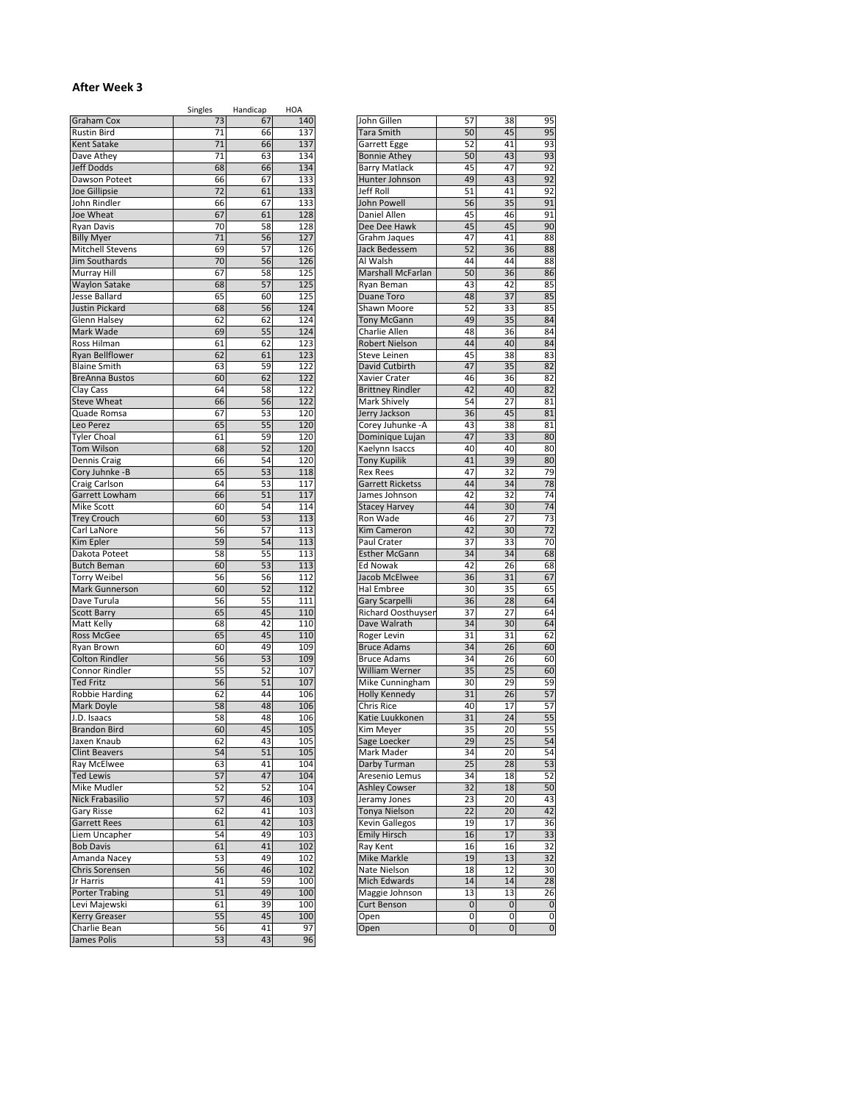## **After Week 3**

|                                     | Singles  | Handicap | HOA        |                                          |                 |           |             |
|-------------------------------------|----------|----------|------------|------------------------------------------|-----------------|-----------|-------------|
| Graham Cox                          | 73       | 67       | 140        | John Gillen                              | 57              | 38        | 95          |
| <b>Rustin Bird</b>                  | 71       | 66       | 137        | <b>Tara Smith</b>                        | 50              | 45        | 95          |
| Kent Satake                         | 71       | 66       | 137        | Garrett Egge                             | 52              | 41        | 93          |
| Dave Athey                          | 71       | 63       | 134        | <b>Bonnie Athey</b>                      | 50              | 43        | 93          |
| Jeff Dodds                          | 68       | 66       | 134        | <b>Barry Matlack</b>                     | 45              | 47        | 92          |
| Dawson Poteet                       | 66       | 67       | 133        | Hunter Johnson                           | 49              | 43        | 92          |
| Joe Gillipsie                       | 72       | 61       | 133        | Jeff Roll                                | 51              | 41        | 92          |
| John Rindler                        | 66       | 67       | 133        | John Powell                              | 56              | 35        | 91          |
| Joe Wheat                           | 67       | 61       | 128        | Daniel Allen                             | 45              | 46        | 91          |
| <b>Ryan Davis</b>                   | 70       | 58       | 128        | Dee Dee Hawk                             | 45              | 45        | 90          |
| <b>Billy Myer</b>                   | 71       | 56       | 127        | Grahm Jaques                             | 47              | 41        | 88          |
| <b>Mitchell Stevens</b>             | 69       | 57       | 126        | Jack Bedessem                            | 52              | 36        | 88          |
| <b>Jim Southards</b>                | 70       | 56       | 126        | Al Walsh                                 | 44              | 44        | 88          |
| Murray Hill                         | 67       | 58       | 125        | Marshall McFarlan                        | 50              | 36        | 86          |
| <b>Waylon Satake</b>                | 68       | 57       | 125        | Ryan Beman                               | 43              | 42        | 85          |
| Jesse Ballard                       | 65       | 60       | 125        | <b>Duane Toro</b>                        | 48              | 37        | 85          |
| Justin Pickard                      | 68       | 56       | 124        | Shawn Moore                              | 52              | 33        | 85          |
| Glenn Halsey                        | 62       | 62       | 124        | <b>Tony McGann</b>                       | 49              | 35        | 84          |
| Mark Wade                           | 69       | 55       | 124        | Charlie Allen                            | 48              | 36        | 84          |
| Ross Hilman                         | 61       | 62       | 123        | Robert Nielson                           | 44              | 40        | 84          |
| <b>Ryan Bellflower</b>              | 62       | 61       | 123        | Steve Leinen                             | 45              | 38        | 83          |
| <b>Blaine Smith</b>                 | 63       | 59       | 122        | David Cutbirth                           | 47              | 35        | 82          |
| <b>BreAnna Bustos</b>               | 60       | 62       | 122        | Xavier Crater                            | 46              | 36        | 82          |
| Clay Cass                           | 64       | 58       | 122        | <b>Brittney Rindler</b>                  | 42              | 40        | 82          |
| <b>Steve Wheat</b>                  | 66       | 56       | 122        | Mark Shively                             | 54              | 27        | 81          |
| Quade Romsa                         | 67       | 53       | 120        | Jerry Jackson                            | 36              | 45        | 81          |
| Leo Perez                           | 65       | 55       | 120        | Corey Juhunke -A                         | 43              | 38        | 81          |
| <b>Tyler Choal</b>                  | 61       | 59       | 120        | Dominique Lujan                          | 47              | 33        | 80          |
| <b>Tom Wilson</b>                   | 68       | 52       | 120        | Kaelynn Isaccs                           | 40              | 40        | 80          |
| Dennis Craig                        | 66       | 54       | 120        | <b>Tony Kupilik</b>                      | 41              | 39        | 80          |
| Cory Juhnke -B                      | 65       | 53       | 118        | <b>Rex Rees</b>                          | 47              | 32        | 79          |
| Craig Carlson                       | 64       | 53       | 117        | Garrett Ricketss                         | 44              | 34        | 78          |
| Garrett Lowham                      | 66       | 51       | 117        | James Johnson                            | 42              | 32        | 74          |
| Mike Scott                          | 60       | 54       | 114        | Stacey Harvey                            | 44              | 30        | 74          |
| <b>Trey Crouch</b>                  | 60       | 53       | 113        | Ron Wade                                 | 46              | 27        | 73          |
| Carl LaNore                         | 56       | 57       | 113        | Kim Cameron                              | 42              | 30        | 72          |
| Kim Epler                           | 59       | 54       | 113        | Paul Crater                              | 37              | 33        | 70          |
| Dakota Poteet                       | 58       | 55       | 113        | <b>Esther McGann</b>                     | 34              | 34        | 68          |
| <b>Butch Beman</b>                  | 60       | 53       | 113        | Ed Nowak                                 | 42              | 26        | 68          |
| <b>Torry Weibel</b>                 | 56       | 56       | 112        | Jacob McElwee                            | 36              | 31        | 67          |
| Mark Gunnerson                      | 60       | 52       | 112        | Hal Embree                               | 30              | 35        | 65          |
| Dave Turula                         | 56       | 55       | 111        | Gary Scarpelli                           | 36              | 28        | 64          |
| <b>Scott Barry</b>                  | 65       | 45       | 110        | Richard Oosthuyser                       | 37              | 27        | 64          |
| Matt Kelly                          | 68<br>65 | 42<br>45 | 110<br>110 | Dave Walrath                             | 34<br>31        | 30<br>31  | 64<br>62    |
| Ross McGee                          | 60       | 49       | 109        | Roger Levin                              | 34              | 26        | 60          |
| Ryan Brown<br><b>Colton Rindler</b> | 56       | 53       | 109        | <b>Bruce Adams</b><br><b>Bruce Adams</b> | 34              | 26        | 60          |
| <b>Connor Rindler</b>               | 55       | 52       |            |                                          | 35              | 25        | 60          |
| <b>Ted Fritz</b>                    | 56       | 51       | 107<br>107 | William Werner<br>Mike Cunningham        | 30              | 29        | 59          |
| <b>Robbie Harding</b>               | 62       | 44       | 106        | <b>Holly Kennedy</b>                     | 31              | 26        | 57          |
| Mark Doyle                          | 58       | 48       | 106        | Chris Rice                               | 40              | 17        | 57          |
| J.D. Isaacs                         | 58       | 48       | 106        | Katie Luukkonen                          | 31              | 24        | 55          |
| <b>Brandon Bird</b>                 | 60       | 45       | 105        | Kim Meyer                                | 35              | 20        | 55          |
| Jaxen Knaub                         | 62       | 43       | 105        | Sage Loecker                             | 29              | 25        | 54          |
| <b>Clint Beavers</b>                | 54       | 51       | 105        | Mark Mader                               | 34              | 20        | 54          |
| Ray McElwee                         | 63       | 41       | 104        | Darby Turman                             | 25              | 28        | 53          |
| <b>Ted Lewis</b>                    | 57       | 47       | 104        | Aresenio Lemus                           | 34              | 18        | 52          |
| Mike Mudler                         | 52       | 52       | 104        | <b>Ashley Cowser</b>                     | 32              | 18        | 50          |
| Nick Frabasilio                     | 57       | 46       | 103        | Jeramy Jones                             | 23              | 20        | 43          |
| Gary Risse                          | 62       | 41       | 103        | Tonya Nielson                            | $\overline{22}$ | 20        | 42          |
| <b>Garrett Rees</b>                 | 61       | 42       | 103        | Kevin Gallegos                           | 19              | 17        | 36          |
| Liem Uncapher                       | 54       | 49       | 103        | <b>Emily Hirsch</b>                      | 16              | 17        | 33          |
| <b>Bob Davis</b>                    | 61       | 41       | 102        | Ray Kent                                 | 16              | 16        | 32          |
| Amanda Nacey                        | 53       | 49       | 102        | Mike Markle                              | 19              | 13        | 32          |
| Chris Sorensen                      | 56       | 46       | 102        | Nate Nielson                             | 18              | 12        | 30          |
| Jr Harris                           | 41       | 59       | 100        | Mich Edwards                             | 14              | 14        | 28          |
| <b>Porter Trabing</b>               | 51       | 49       | 100        | Maggie Johnson                           | 13              | 13        | 26          |
| Levi Majewski                       | 61       | 39       | 100        | Curt Benson                              | $\overline{0}$  | $\pmb{0}$ | $\mathbf 0$ |
| Kerry Greaser                       | 55       | 45       | 100        | Open                                     | 0               | 0         | 0           |
| Charlie Bean                        | 56       | 41       | 97         | Open                                     | $\pmb{0}$       | $\pmb{0}$ | 0           |
| James Polis                         | 53       | 43       | 96         |                                          |                 |           |             |
|                                     |          |          |            |                                          |                 |           |             |

| John Gillen             | 57             | 38              | 95              |
|-------------------------|----------------|-----------------|-----------------|
| Tara Smith              | 50             | 45              | 95              |
| Garrett Egge            | 52             | 41              | 93              |
| <b>Bonnie Athey</b>     | 50             | 43              | 93              |
| <b>Barry Matlack</b>    | 45             | 47              | 92              |
|                         | 49             |                 |                 |
| Hunter Johnson          |                | 43              | 92              |
| Jeff Roll               | 51             | 41              | 92              |
| John Powell             | 56             | 35              | 91              |
| Daniel Allen            | 4 <sub>5</sub> | 46              | 91              |
| Dee Dee Hawk            | 45             | 45              | 90              |
| Grahm Jaques            | 47             | 41              | 88              |
| <b>Jack Bedessem</b>    | 52             | 36              | 88              |
| Al Walsh                | 44             | 44              | 88              |
| Marshall McFarlan       | 50             | 36              | 86              |
|                         |                |                 |                 |
| Ryan Beman              | 43             | 42              | 85              |
| <b>Duane Toro</b>       | 48             | $\overline{37}$ | 85              |
| Shawn Moore             | 52             | 33              | 85              |
| <b>Tony McGann</b>      | 49             | 35              | 84              |
| Charlie Allen           | 48             | 36              | 84              |
| <b>Robert Nielson</b>   | 44             | 40              | 84              |
| <b>Steve Leinen</b>     | 45             | 38              | 83              |
| David Cutbirth          | 47             | 35              | 82              |
| Xavier Crater           | 46             | 36              | 82              |
|                         | 42             |                 | 82              |
| <b>Brittney Rindler</b> |                | 40              |                 |
| Mark Shively            | 54             | 27              | 81              |
| Jerry Jackson           | 36             | 45              | 81              |
| Corey Juhunke - A       | 43             | 38              | 81              |
| Dominique Lujan         | 47             | 33              | 80              |
| Kaelynn Isaccs          | 40             | 40              | 80              |
| <b>Tony Kupilik</b>     | 41             | 39              | 80              |
| <b>Rex Rees</b>         | 47             | 32              | 79              |
| <b>Garrett Ricketss</b> | 44             | 34              | 78              |
|                         |                |                 |                 |
| James Johnson           | 42             | 32              | 74              |
| <b>Stacey Harvey</b>    | 44             | 30              | 74              |
| Ron Wade                | 46             | 27              | 73              |
| Kim Cameron             | 42             | 30              | $\overline{72}$ |
| Paul Crater             | 37             | 33              | 70              |
| <b>Esther McGann</b>    | 34             | 34              | 68              |
| <b>Ed Nowak</b>         | 42             | 26              | 68              |
| Jacob McElwee           | 36             | 31              | 67              |
| <b>Hal Embree</b>       | 30             | 35              | 65              |
|                         | 36             | 28              | 64              |
| Gary Scarpelli          |                |                 |                 |
| Richard Oosthuyser      | 37             | 27              | 64              |
| Dave Walrath            | 34             | 30              | 64              |
| Roger Levin             | 31             | 31              | 62              |
| <b>Bruce Adams</b>      | 34             | 26              | 60              |
| <b>Bruce Adams</b>      | 34             | 26              | 60              |
| William Werner          | 35             | 25              | 60              |
| Mike Cunningham         | 30             | 29              | 59              |
| <b>Holly Kennedy</b>    | 31             | 26              | 57              |
| <b>Chris Rice</b>       | 40             | 17              | 57              |
|                         |                |                 |                 |
| Katie Luukkonen         | 31             | 24              | 55              |
| Kim Meyer               | 35             | 20              | 55              |
| Sage Loecker            | 29             | 25              | 54              |
| Mark Mader              | 34             | 20              | 54              |
| Darby Turman            | 25             | 28              | 53              |
| Aresenio Lemus          | 34             | 18              | 52              |
| <b>Ashley Cowser</b>    | 32             | 18              | 50              |
| Jeramy Jones            | 23             | 20              | 43              |
| Tonya Nielson           | 22             | 20              | 42              |
|                         |                |                 |                 |
| <b>Kevin Gallegos</b>   | 19             | 17              | 36              |
| <b>Emily Hirsch</b>     | 16             | 17              | 33              |
| Ray Kent                | 16             | 16              | 32              |
| <b>Mike Markle</b>      | 19             | $\overline{13}$ | 32              |
| Nate Nielson            | 18             | 12              | 30              |
| <b>Mich Edwards</b>     | 14             | 14              | 28              |
| Maggie Johnson          | 13             | 13              | 26              |
| Curt Benson             | 0              | 0               | 0               |
|                         | 0              | 0               | 0               |
| Open                    |                | 0               | 0               |
| Open                    | 0              |                 |                 |